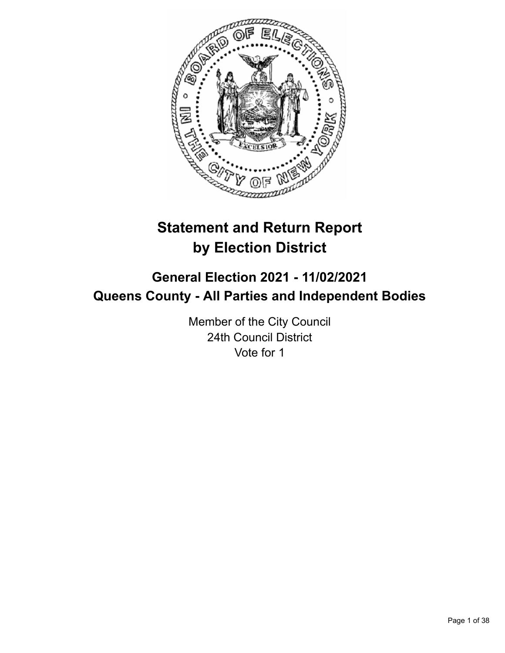

# **Statement and Return Report by Election District**

# **General Election 2021 - 11/02/2021 Queens County - All Parties and Independent Bodies**

Member of the City Council 24th Council District Vote for 1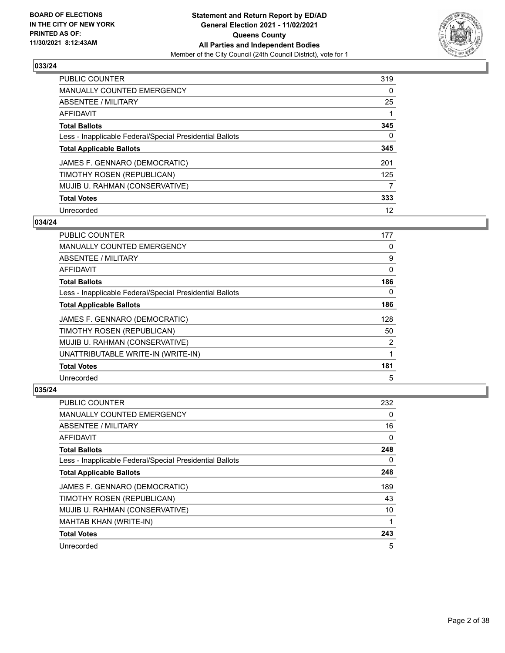

| PUBLIC COUNTER                                           | 319      |
|----------------------------------------------------------|----------|
| <b>MANUALLY COUNTED EMERGENCY</b>                        | $\Omega$ |
| ABSENTEE / MILITARY                                      | 25       |
| AFFIDAVIT                                                |          |
| <b>Total Ballots</b>                                     | 345      |
| Less - Inapplicable Federal/Special Presidential Ballots | 0        |
| <b>Total Applicable Ballots</b>                          | 345      |
| JAMES F. GENNARO (DEMOCRATIC)                            | 201      |
| TIMOTHY ROSEN (REPUBLICAN)                               | 125      |
| MUJIB U. RAHMAN (CONSERVATIVE)                           | 7        |
| <b>Total Votes</b>                                       | 333      |
| Unrecorded                                               | 12       |

#### **034/24**

| PUBLIC COUNTER                                           | 177 |
|----------------------------------------------------------|-----|
| <b>MANUALLY COUNTED EMERGENCY</b>                        | 0   |
| ABSENTEE / MILITARY                                      | 9   |
| AFFIDAVIT                                                | 0   |
| <b>Total Ballots</b>                                     | 186 |
| Less - Inapplicable Federal/Special Presidential Ballots | 0   |
| <b>Total Applicable Ballots</b>                          | 186 |
| JAMES F. GENNARO (DEMOCRATIC)                            | 128 |
| TIMOTHY ROSEN (REPUBLICAN)                               | 50  |
| MUJIB U. RAHMAN (CONSERVATIVE)                           | 2   |
| UNATTRIBUTABLE WRITE-IN (WRITE-IN)                       |     |
| <b>Total Votes</b>                                       | 181 |
| Unrecorded                                               | 5   |

| <b>PUBLIC COUNTER</b>                                    | 232 |
|----------------------------------------------------------|-----|
| MANUALLY COUNTED EMERGENCY                               | 0   |
| ABSENTEE / MILITARY                                      | 16  |
| AFFIDAVIT                                                | 0   |
| <b>Total Ballots</b>                                     | 248 |
| Less - Inapplicable Federal/Special Presidential Ballots | 0   |
| <b>Total Applicable Ballots</b>                          | 248 |
| JAMES F. GENNARO (DEMOCRATIC)                            | 189 |
| TIMOTHY ROSEN (REPUBLICAN)                               | 43  |
| MUJIB U. RAHMAN (CONSERVATIVE)                           | 10  |
| MAHTAB KHAN (WRITE-IN)                                   | 1   |
| <b>Total Votes</b>                                       | 243 |
| Unrecorded                                               | 5   |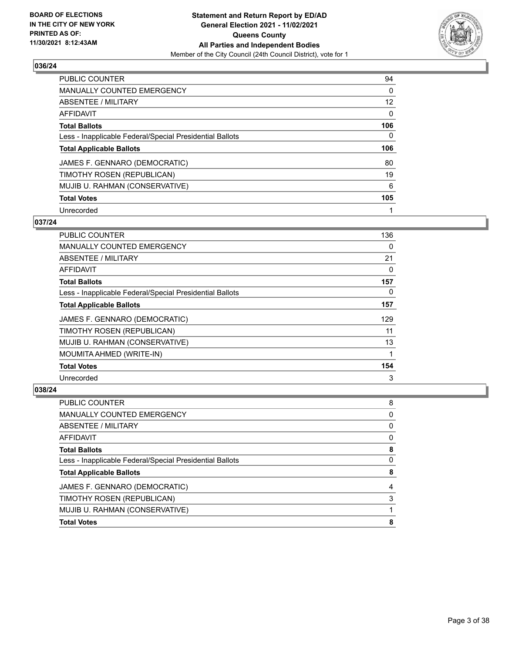

| PUBLIC COUNTER                                           | 94       |
|----------------------------------------------------------|----------|
| <b>MANUALLY COUNTED EMERGENCY</b>                        | 0        |
| ABSENTEE / MILITARY                                      | 12       |
| AFFIDAVIT                                                | $\Omega$ |
| <b>Total Ballots</b>                                     | 106      |
| Less - Inapplicable Federal/Special Presidential Ballots | $\Omega$ |
| <b>Total Applicable Ballots</b>                          | 106      |
| JAMES F. GENNARO (DEMOCRATIC)                            | 80       |
| TIMOTHY ROSEN (REPUBLICAN)                               | 19       |
| MUJIB U. RAHMAN (CONSERVATIVE)                           | 6        |
| <b>Total Votes</b>                                       | 105      |
| Unrecorded                                               |          |

#### **037/24**

| <b>PUBLIC COUNTER</b>                                    | 136      |
|----------------------------------------------------------|----------|
| <b>MANUALLY COUNTED EMERGENCY</b>                        | 0        |
| ABSENTEE / MILITARY                                      | 21       |
| AFFIDAVIT                                                | 0        |
| <b>Total Ballots</b>                                     | 157      |
| Less - Inapplicable Federal/Special Presidential Ballots | $\Omega$ |
| <b>Total Applicable Ballots</b>                          | 157      |
| JAMES F. GENNARO (DEMOCRATIC)                            | 129      |
| TIMOTHY ROSEN (REPUBLICAN)                               | 11       |
| MUJIB U. RAHMAN (CONSERVATIVE)                           | 13       |
| MOUMITA AHMED (WRITE-IN)                                 |          |
| <b>Total Votes</b>                                       | 154      |
| Unrecorded                                               | 3        |

| <b>Total Votes</b>                                       | 8 |
|----------------------------------------------------------|---|
| MUJIB U. RAHMAN (CONSERVATIVE)                           |   |
| TIMOTHY ROSEN (REPUBLICAN)                               | 3 |
| JAMES F. GENNARO (DEMOCRATIC)                            | 4 |
| <b>Total Applicable Ballots</b>                          | 8 |
| Less - Inapplicable Federal/Special Presidential Ballots | 0 |
| <b>Total Ballots</b>                                     | 8 |
| <b>AFFIDAVIT</b>                                         | 0 |
| <b>ABSENTEE / MILITARY</b>                               | 0 |
| MANUALLY COUNTED EMERGENCY                               | 0 |
| PUBLIC COUNTER                                           | 8 |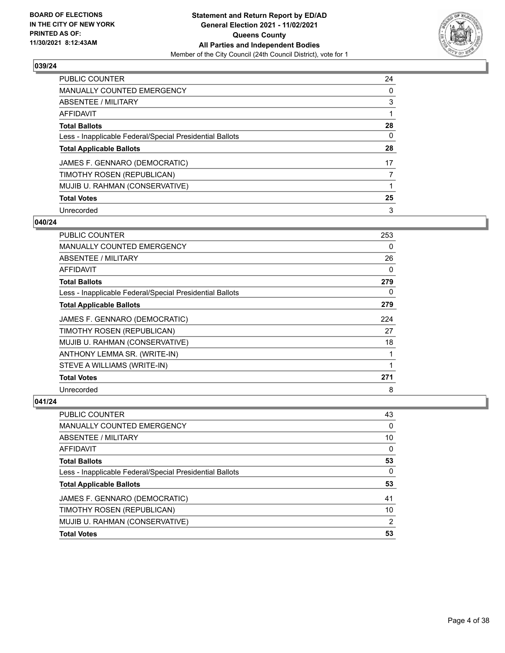

| <b>PUBLIC COUNTER</b>                                    | 24       |
|----------------------------------------------------------|----------|
| <b>MANUALLY COUNTED EMERGENCY</b>                        | $\Omega$ |
| <b>ABSENTEE / MILITARY</b>                               | 3        |
| AFFIDAVIT                                                |          |
| <b>Total Ballots</b>                                     | 28       |
| Less - Inapplicable Federal/Special Presidential Ballots | 0        |
| <b>Total Applicable Ballots</b>                          | 28       |
| JAMES F. GENNARO (DEMOCRATIC)                            | 17       |
| TIMOTHY ROSEN (REPUBLICAN)                               | 7        |
| MUJIB U. RAHMAN (CONSERVATIVE)                           |          |
| <b>Total Votes</b>                                       | 25       |
| Unrecorded                                               | 3        |

#### **040/24**

| <b>PUBLIC COUNTER</b>                                    | 253 |
|----------------------------------------------------------|-----|
| <b>MANUALLY COUNTED EMERGENCY</b>                        | 0   |
| ABSENTEE / MILITARY                                      | 26  |
| AFFIDAVIT                                                | 0   |
| <b>Total Ballots</b>                                     | 279 |
| Less - Inapplicable Federal/Special Presidential Ballots | 0   |
| <b>Total Applicable Ballots</b>                          | 279 |
| JAMES F. GENNARO (DEMOCRATIC)                            | 224 |
| TIMOTHY ROSEN (REPUBLICAN)                               | 27  |
| MUJIB U. RAHMAN (CONSERVATIVE)                           | 18  |
| ANTHONY LEMMA SR. (WRITE-IN)                             | 1   |
| STEVE A WILLIAMS (WRITE-IN)                              | 1   |
| <b>Total Votes</b>                                       | 271 |
| Unrecorded                                               | 8   |

| PUBLIC COUNTER                                           | 43 |
|----------------------------------------------------------|----|
| <b>MANUALLY COUNTED EMERGENCY</b>                        | 0  |
| ABSENTEE / MILITARY                                      | 10 |
| <b>AFFIDAVIT</b>                                         | 0  |
| <b>Total Ballots</b>                                     | 53 |
| Less - Inapplicable Federal/Special Presidential Ballots | 0  |
| <b>Total Applicable Ballots</b>                          | 53 |
| JAMES F. GENNARO (DEMOCRATIC)                            | 41 |
| TIMOTHY ROSEN (REPUBLICAN)                               | 10 |
| MUJIB U. RAHMAN (CONSERVATIVE)                           | 2  |
| <b>Total Votes</b>                                       | 53 |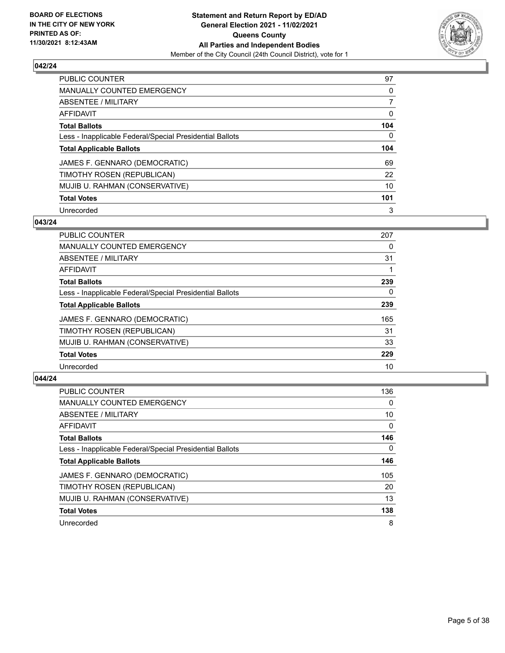

| <b>PUBLIC COUNTER</b>                                    | 97       |
|----------------------------------------------------------|----------|
| <b>MANUALLY COUNTED EMERGENCY</b>                        | $\Omega$ |
| <b>ABSENTEE / MILITARY</b>                               |          |
| AFFIDAVIT                                                | 0        |
| <b>Total Ballots</b>                                     | 104      |
| Less - Inapplicable Federal/Special Presidential Ballots | 0        |
| <b>Total Applicable Ballots</b>                          | 104      |
| JAMES F. GENNARO (DEMOCRATIC)                            | 69       |
| TIMOTHY ROSEN (REPUBLICAN)                               | 22       |
| MUJIB U. RAHMAN (CONSERVATIVE)                           | 10       |
| <b>Total Votes</b>                                       | 101      |
| Unrecorded                                               | 3        |

#### **043/24**

| <b>PUBLIC COUNTER</b>                                    | 207 |
|----------------------------------------------------------|-----|
| <b>MANUALLY COUNTED EMERGENCY</b>                        | 0   |
| ABSENTEE / MILITARY                                      | 31  |
| <b>AFFIDAVIT</b>                                         |     |
| <b>Total Ballots</b>                                     | 239 |
| Less - Inapplicable Federal/Special Presidential Ballots | 0   |
| <b>Total Applicable Ballots</b>                          | 239 |
| JAMES F. GENNARO (DEMOCRATIC)                            | 165 |
| TIMOTHY ROSEN (REPUBLICAN)                               | 31  |
| MUJIB U. RAHMAN (CONSERVATIVE)                           | 33  |
| <b>Total Votes</b>                                       | 229 |
| Unrecorded                                               | 10  |

| <b>PUBLIC COUNTER</b>                                    | 136      |
|----------------------------------------------------------|----------|
| <b>MANUALLY COUNTED EMERGENCY</b>                        | $\Omega$ |
| ABSENTEE / MILITARY                                      | 10       |
| AFFIDAVIT                                                | $\Omega$ |
| <b>Total Ballots</b>                                     | 146      |
| Less - Inapplicable Federal/Special Presidential Ballots | 0        |
| <b>Total Applicable Ballots</b>                          | 146      |
| JAMES F. GENNARO (DEMOCRATIC)                            | 105      |
| TIMOTHY ROSEN (REPUBLICAN)                               | 20       |
| MUJIB U. RAHMAN (CONSERVATIVE)                           | 13       |
| <b>Total Votes</b>                                       | 138      |
| Unrecorded                                               | 8        |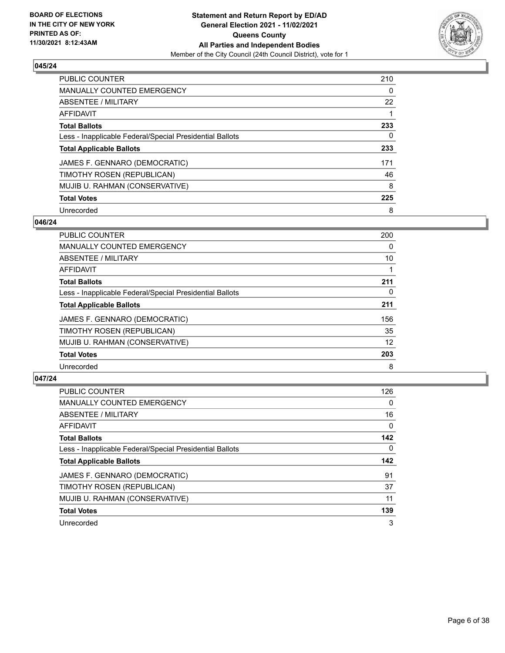

| <b>PUBLIC COUNTER</b>                                    | 210      |
|----------------------------------------------------------|----------|
| <b>MANUALLY COUNTED EMERGENCY</b>                        | $\Omega$ |
| ABSENTEE / MILITARY                                      | 22       |
| AFFIDAVIT                                                |          |
| <b>Total Ballots</b>                                     | 233      |
| Less - Inapplicable Federal/Special Presidential Ballots | 0        |
| <b>Total Applicable Ballots</b>                          | 233      |
| JAMES F. GENNARO (DEMOCRATIC)                            | 171      |
| TIMOTHY ROSEN (REPUBLICAN)                               | 46       |
| MUJIB U. RAHMAN (CONSERVATIVE)                           | 8        |
| <b>Total Votes</b>                                       | 225      |
| Unrecorded                                               | 8        |

#### **046/24**

| <b>PUBLIC COUNTER</b>                                    | 200 |
|----------------------------------------------------------|-----|
| <b>MANUALLY COUNTED EMERGENCY</b>                        | 0   |
| ABSENTEE / MILITARY                                      | 10  |
| <b>AFFIDAVIT</b>                                         |     |
| <b>Total Ballots</b>                                     | 211 |
| Less - Inapplicable Federal/Special Presidential Ballots | 0   |
| <b>Total Applicable Ballots</b>                          | 211 |
| JAMES F. GENNARO (DEMOCRATIC)                            | 156 |
| TIMOTHY ROSEN (REPUBLICAN)                               | 35  |
| MUJIB U. RAHMAN (CONSERVATIVE)                           | 12  |
| <b>Total Votes</b>                                       | 203 |
| Unrecorded                                               | 8   |

| <b>PUBLIC COUNTER</b>                                    | 126      |
|----------------------------------------------------------|----------|
| <b>MANUALLY COUNTED EMERGENCY</b>                        | $\Omega$ |
| ABSENTEE / MILITARY                                      | 16       |
| AFFIDAVIT                                                | 0        |
| <b>Total Ballots</b>                                     | 142      |
| Less - Inapplicable Federal/Special Presidential Ballots | 0        |
| <b>Total Applicable Ballots</b>                          | 142      |
| JAMES F. GENNARO (DEMOCRATIC)                            | 91       |
| TIMOTHY ROSEN (REPUBLICAN)                               | 37       |
| MUJIB U. RAHMAN (CONSERVATIVE)                           | 11       |
| <b>Total Votes</b>                                       | 139      |
| Unrecorded                                               | 3        |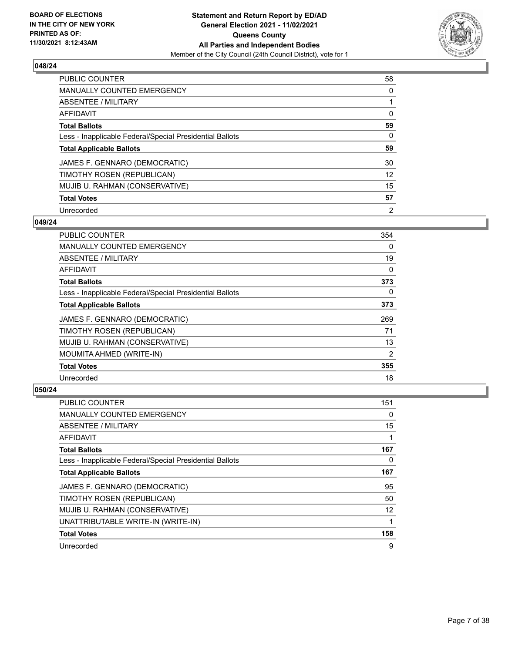

| PUBLIC COUNTER                                           | 58             |
|----------------------------------------------------------|----------------|
| <b>MANUALLY COUNTED EMERGENCY</b>                        | $\Omega$       |
| ABSENTEE / MILITARY                                      |                |
| AFFIDAVIT                                                | $\Omega$       |
| <b>Total Ballots</b>                                     | 59             |
| Less - Inapplicable Federal/Special Presidential Ballots | 0              |
| <b>Total Applicable Ballots</b>                          | 59             |
| JAMES F. GENNARO (DEMOCRATIC)                            | 30             |
| TIMOTHY ROSEN (REPUBLICAN)                               | 12             |
| MUJIB U. RAHMAN (CONSERVATIVE)                           | 15             |
| <b>Total Votes</b>                                       | 57             |
| Unrecorded                                               | $\overline{2}$ |

#### **049/24**

| <b>PUBLIC COUNTER</b>                                    | 354 |
|----------------------------------------------------------|-----|
| <b>MANUALLY COUNTED EMERGENCY</b>                        | 0   |
| ABSENTEE / MILITARY                                      | 19  |
| AFFIDAVIT                                                | 0   |
| <b>Total Ballots</b>                                     | 373 |
| Less - Inapplicable Federal/Special Presidential Ballots | 0   |
| <b>Total Applicable Ballots</b>                          | 373 |
| JAMES F. GENNARO (DEMOCRATIC)                            | 269 |
| TIMOTHY ROSEN (REPUBLICAN)                               | 71  |
| MUJIB U. RAHMAN (CONSERVATIVE)                           | 13  |
| MOUMITA AHMED (WRITE-IN)                                 | 2   |
| <b>Total Votes</b>                                       | 355 |
| Unrecorded                                               | 18  |

| <b>PUBLIC COUNTER</b>                                    | 151      |
|----------------------------------------------------------|----------|
| MANUALLY COUNTED EMERGENCY                               | 0        |
| ABSENTEE / MILITARY                                      | 15       |
| AFFIDAVIT                                                |          |
| <b>Total Ballots</b>                                     | 167      |
| Less - Inapplicable Federal/Special Presidential Ballots | $\Omega$ |
| <b>Total Applicable Ballots</b>                          | 167      |
| JAMES F. GENNARO (DEMOCRATIC)                            | 95       |
| TIMOTHY ROSEN (REPUBLICAN)                               | 50       |
| MUJIB U. RAHMAN (CONSERVATIVE)                           | 12       |
| UNATTRIBUTABLE WRITE-IN (WRITE-IN)                       |          |
| <b>Total Votes</b>                                       | 158      |
| Unrecorded                                               | 9        |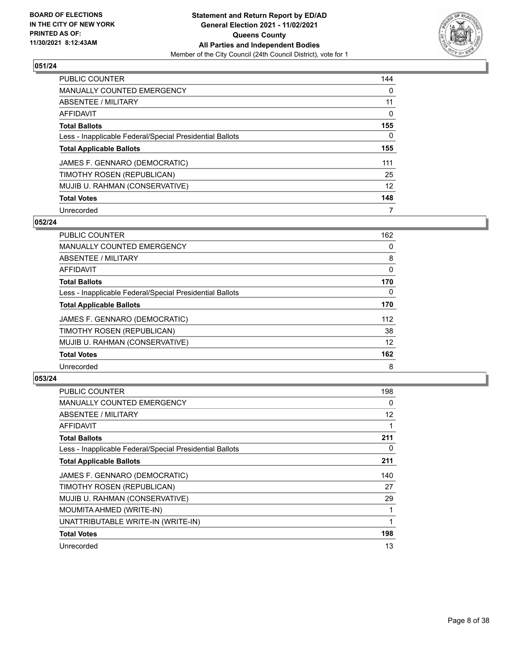

| <b>PUBLIC COUNTER</b>                                    | 144      |
|----------------------------------------------------------|----------|
| <b>MANUALLY COUNTED EMERGENCY</b>                        | $\Omega$ |
| ABSENTEE / MILITARY                                      | 11       |
| AFFIDAVIT                                                | $\Omega$ |
| <b>Total Ballots</b>                                     | 155      |
| Less - Inapplicable Federal/Special Presidential Ballots | 0        |
| <b>Total Applicable Ballots</b>                          | 155      |
| JAMES F. GENNARO (DEMOCRATIC)                            | 111      |
| TIMOTHY ROSEN (REPUBLICAN)                               | 25       |
| MUJIB U. RAHMAN (CONSERVATIVE)                           | 12       |
| <b>Total Votes</b>                                       | 148      |
| Unrecorded                                               | 7        |

#### **052/24**

| PUBLIC COUNTER                                           | 162      |
|----------------------------------------------------------|----------|
| <b>MANUALLY COUNTED EMERGENCY</b>                        | 0        |
| ABSENTEE / MILITARY                                      | 8        |
| <b>AFFIDAVIT</b>                                         | 0        |
| <b>Total Ballots</b>                                     | 170      |
| Less - Inapplicable Federal/Special Presidential Ballots | $\Omega$ |
| <b>Total Applicable Ballots</b>                          | 170      |
| JAMES F. GENNARO (DEMOCRATIC)                            | 112      |
| TIMOTHY ROSEN (REPUBLICAN)                               | 38       |
| MUJIB U. RAHMAN (CONSERVATIVE)                           | 12       |
| <b>Total Votes</b>                                       | 162      |
| Unrecorded                                               | 8        |

| PUBLIC COUNTER                                           | 198 |
|----------------------------------------------------------|-----|
| <b>MANUALLY COUNTED EMERGENCY</b>                        | 0   |
| ABSENTEE / MILITARY                                      | 12  |
| AFFIDAVIT                                                | 1   |
| <b>Total Ballots</b>                                     | 211 |
| Less - Inapplicable Federal/Special Presidential Ballots | 0   |
| <b>Total Applicable Ballots</b>                          | 211 |
| JAMES F. GENNARO (DEMOCRATIC)                            | 140 |
| TIMOTHY ROSEN (REPUBLICAN)                               | 27  |
| MUJIB U. RAHMAN (CONSERVATIVE)                           | 29  |
| MOUMITA AHMED (WRITE-IN)                                 | 1   |
| UNATTRIBUTABLE WRITE-IN (WRITE-IN)                       | 1   |
| <b>Total Votes</b>                                       | 198 |
| Unrecorded                                               | 13  |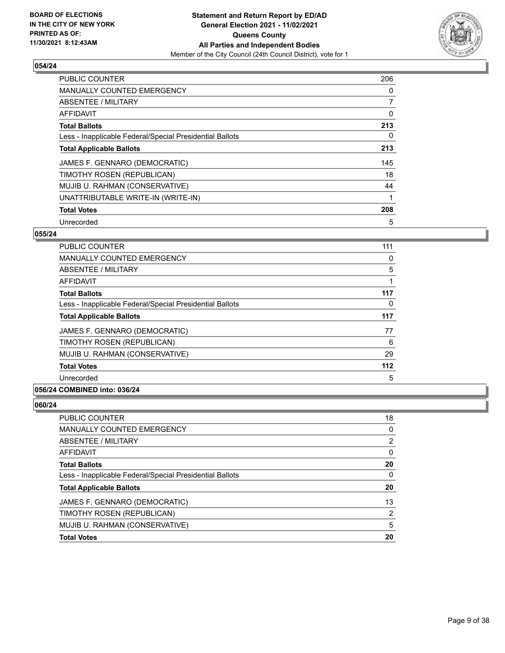

| <b>PUBLIC COUNTER</b>                                    | 206      |
|----------------------------------------------------------|----------|
| MANUALLY COUNTED EMERGENCY                               | 0        |
| ABSENTEE / MILITARY                                      | 7        |
| AFFIDAVIT                                                | 0        |
| <b>Total Ballots</b>                                     | 213      |
| Less - Inapplicable Federal/Special Presidential Ballots | $\Omega$ |
| <b>Total Applicable Ballots</b>                          | 213      |
| JAMES F. GENNARO (DEMOCRATIC)                            | 145      |
| TIMOTHY ROSEN (REPUBLICAN)                               | 18       |
| MUJIB U. RAHMAN (CONSERVATIVE)                           | 44       |
| UNATTRIBUTABLE WRITE-IN (WRITE-IN)                       | 1        |
| <b>Total Votes</b>                                       | 208      |
| Unrecorded                                               | 5        |

# **055/24**

| <b>PUBLIC COUNTER</b>                                    | 111   |
|----------------------------------------------------------|-------|
| <b>MANUALLY COUNTED EMERGENCY</b>                        | 0     |
| ABSENTEE / MILITARY                                      | 5     |
| <b>AFFIDAVIT</b>                                         |       |
| <b>Total Ballots</b>                                     | 117   |
| Less - Inapplicable Federal/Special Presidential Ballots | 0     |
| <b>Total Applicable Ballots</b>                          | 117   |
| JAMES F. GENNARO (DEMOCRATIC)                            | 77    |
| TIMOTHY ROSEN (REPUBLICAN)                               | 6     |
| MUJIB U. RAHMAN (CONSERVATIVE)                           | 29    |
| <b>Total Votes</b>                                       | $112$ |
| Unrecorded                                               | 5     |

# **056/24 COMBINED into: 036/24**

| MANUALLY COUNTED EMERGENCY<br>ABSENTEE / MILITARY        | $\overline{2}$ |
|----------------------------------------------------------|----------------|
| AFFIDAVIT                                                | 0              |
| <b>Total Ballots</b>                                     | 20             |
| Less - Inapplicable Federal/Special Presidential Ballots | 0              |
| <b>Total Applicable Ballots</b>                          | 20             |
| JAMES F. GENNARO (DEMOCRATIC)                            | 13             |
| TIMOTHY ROSEN (REPUBLICAN)                               | $\overline{2}$ |
| MUJIB U. RAHMAN (CONSERVATIVE)                           | 5              |
| <b>Total Votes</b>                                       | 20             |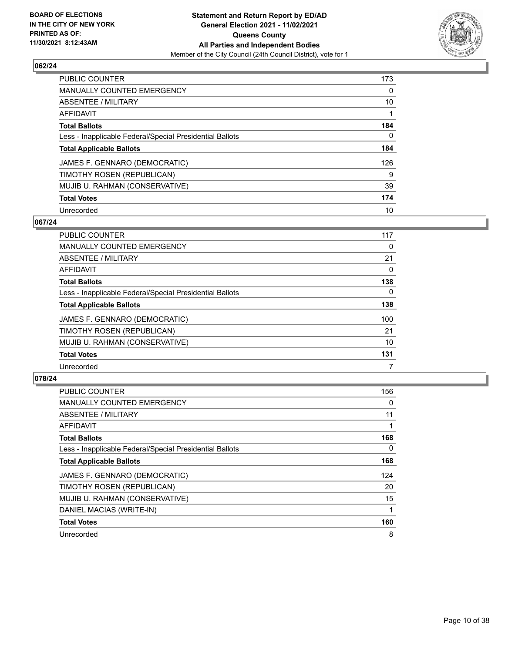

| PUBLIC COUNTER                                           | 173      |
|----------------------------------------------------------|----------|
| <b>MANUALLY COUNTED EMERGENCY</b>                        | $\Omega$ |
| ABSENTEE / MILITARY                                      | 10       |
| AFFIDAVIT                                                |          |
| <b>Total Ballots</b>                                     | 184      |
| Less - Inapplicable Federal/Special Presidential Ballots | 0        |
| <b>Total Applicable Ballots</b>                          | 184      |
| JAMES F. GENNARO (DEMOCRATIC)                            | 126      |
| TIMOTHY ROSEN (REPUBLICAN)                               | 9        |
| MUJIB U. RAHMAN (CONSERVATIVE)                           | 39       |
| <b>Total Votes</b>                                       | 174      |
| Unrecorded                                               | 10       |

#### **067/24**

| PUBLIC COUNTER                                           | 117      |
|----------------------------------------------------------|----------|
| <b>MANUALLY COUNTED EMERGENCY</b>                        | 0        |
| ABSENTEE / MILITARY                                      | 21       |
| <b>AFFIDAVIT</b>                                         | 0        |
| <b>Total Ballots</b>                                     | 138      |
| Less - Inapplicable Federal/Special Presidential Ballots | $\Omega$ |
| <b>Total Applicable Ballots</b>                          | 138      |
| JAMES F. GENNARO (DEMOCRATIC)                            | 100      |
| TIMOTHY ROSEN (REPUBLICAN)                               | 21       |
| MUJIB U. RAHMAN (CONSERVATIVE)                           | 10       |
| <b>Total Votes</b>                                       | 131      |
| Unrecorded                                               |          |

| <b>PUBLIC COUNTER</b>                                    | 156 |
|----------------------------------------------------------|-----|
| <b>MANUALLY COUNTED EMERGENCY</b>                        | 0   |
| ABSENTEE / MILITARY                                      | 11  |
| AFFIDAVIT                                                |     |
| <b>Total Ballots</b>                                     | 168 |
| Less - Inapplicable Federal/Special Presidential Ballots | 0   |
| <b>Total Applicable Ballots</b>                          | 168 |
| JAMES F. GENNARO (DEMOCRATIC)                            | 124 |
| TIMOTHY ROSEN (REPUBLICAN)                               | 20  |
| MUJIB U. RAHMAN (CONSERVATIVE)                           | 15  |
| DANIEL MACIAS (WRITE-IN)                                 |     |
| <b>Total Votes</b>                                       | 160 |
| Unrecorded                                               | 8   |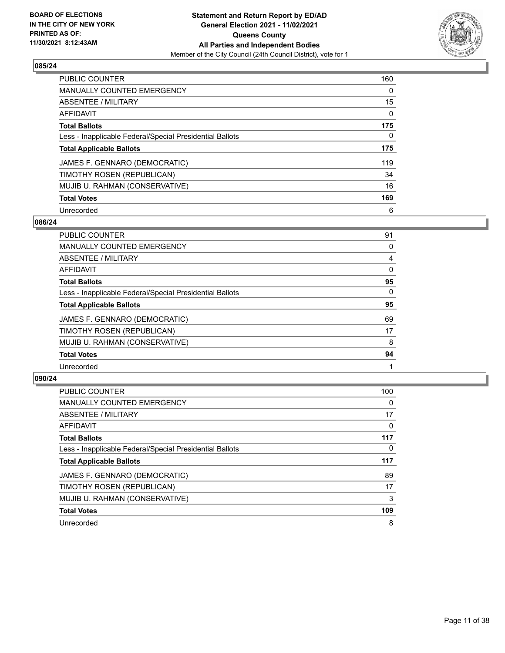

| <b>PUBLIC COUNTER</b>                                    | 160      |
|----------------------------------------------------------|----------|
| <b>MANUALLY COUNTED EMERGENCY</b>                        | $\Omega$ |
| ABSENTEE / MILITARY                                      | 15       |
| AFFIDAVIT                                                | $\Omega$ |
| <b>Total Ballots</b>                                     | 175      |
| Less - Inapplicable Federal/Special Presidential Ballots | 0        |
| <b>Total Applicable Ballots</b>                          | 175      |
| JAMES F. GENNARO (DEMOCRATIC)                            | 119      |
| TIMOTHY ROSEN (REPUBLICAN)                               | 34       |
| MUJIB U. RAHMAN (CONSERVATIVE)                           | 16       |
| <b>Total Votes</b>                                       | 169      |
| Unrecorded                                               | 6        |

#### **086/24**

| <b>PUBLIC COUNTER</b>                                    | 91       |
|----------------------------------------------------------|----------|
| <b>MANUALLY COUNTED EMERGENCY</b>                        | 0        |
| ABSENTEE / MILITARY                                      | 4        |
| <b>AFFIDAVIT</b>                                         | 0        |
| <b>Total Ballots</b>                                     | 95       |
| Less - Inapplicable Federal/Special Presidential Ballots | $\Omega$ |
| <b>Total Applicable Ballots</b>                          | 95       |
| JAMES F. GENNARO (DEMOCRATIC)                            | 69       |
| TIMOTHY ROSEN (REPUBLICAN)                               | 17       |
| MUJIB U. RAHMAN (CONSERVATIVE)                           | 8        |
| <b>Total Votes</b>                                       | 94       |
| Unrecorded                                               |          |

| <b>PUBLIC COUNTER</b>                                    | 100      |
|----------------------------------------------------------|----------|
| <b>MANUALLY COUNTED EMERGENCY</b>                        | $\Omega$ |
| ABSENTEE / MILITARY                                      | 17       |
| <b>AFFIDAVIT</b>                                         | $\Omega$ |
| <b>Total Ballots</b>                                     | 117      |
| Less - Inapplicable Federal/Special Presidential Ballots | 0        |
| <b>Total Applicable Ballots</b>                          | 117      |
| JAMES F. GENNARO (DEMOCRATIC)                            | 89       |
| TIMOTHY ROSEN (REPUBLICAN)                               | 17       |
| MUJIB U. RAHMAN (CONSERVATIVE)                           | 3        |
| <b>Total Votes</b>                                       | 109      |
| Unrecorded                                               | 8        |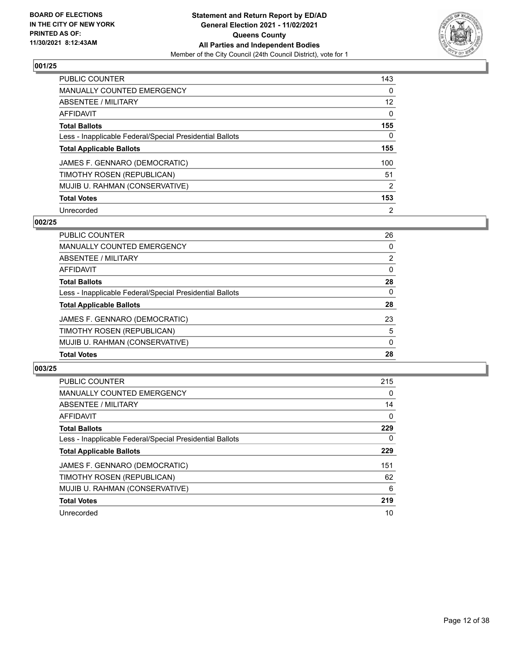

| <b>PUBLIC COUNTER</b>                                    | 143            |
|----------------------------------------------------------|----------------|
| <b>MANUALLY COUNTED EMERGENCY</b>                        | $\Omega$       |
| ABSENTEE / MILITARY                                      | 12             |
| AFFIDAVIT                                                | $\Omega$       |
| <b>Total Ballots</b>                                     | 155            |
| Less - Inapplicable Federal/Special Presidential Ballots | 0              |
| <b>Total Applicable Ballots</b>                          | 155            |
| JAMES F. GENNARO (DEMOCRATIC)                            | 100            |
| TIMOTHY ROSEN (REPUBLICAN)                               | 51             |
| MUJIB U. RAHMAN (CONSERVATIVE)                           | 2              |
| <b>Total Votes</b>                                       | 153            |
| Unrecorded                                               | $\overline{2}$ |

#### **002/25**

| <b>PUBLIC COUNTER</b>                                    | 26           |
|----------------------------------------------------------|--------------|
| <b>MANUALLY COUNTED EMERGENCY</b>                        | 0            |
| ABSENTEE / MILITARY                                      | 2            |
| AFFIDAVIT                                                | $\Omega$     |
| <b>Total Ballots</b>                                     | 28           |
| Less - Inapplicable Federal/Special Presidential Ballots | $\mathbf{0}$ |
| <b>Total Applicable Ballots</b>                          | 28           |
| JAMES F. GENNARO (DEMOCRATIC)                            | 23           |
| TIMOTHY ROSEN (REPUBLICAN)                               | 5            |
| MUJIB U. RAHMAN (CONSERVATIVE)                           | $\Omega$     |
| <b>Total Votes</b>                                       | 28           |

| <b>PUBLIC COUNTER</b>                                    | 215          |
|----------------------------------------------------------|--------------|
| <b>MANUALLY COUNTED EMERGENCY</b>                        | $\Omega$     |
| ABSENTEE / MILITARY                                      | 14           |
| AFFIDAVIT                                                | $\mathbf{0}$ |
| <b>Total Ballots</b>                                     | 229          |
| Less - Inapplicable Federal/Special Presidential Ballots | 0            |
| <b>Total Applicable Ballots</b>                          | 229          |
| JAMES F. GENNARO (DEMOCRATIC)                            | 151          |
| TIMOTHY ROSEN (REPUBLICAN)                               | 62           |
| MUJIB U. RAHMAN (CONSERVATIVE)                           | 6            |
| <b>Total Votes</b>                                       | 219          |
| Unrecorded                                               | 10           |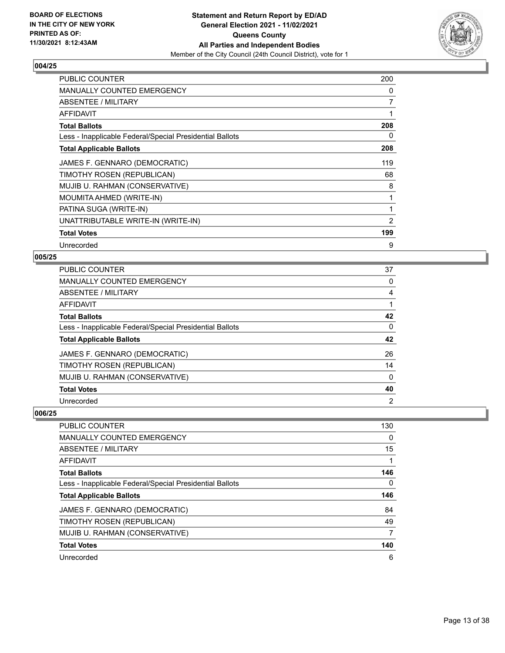

| PUBLIC COUNTER                                           | 200 |
|----------------------------------------------------------|-----|
| <b>MANUALLY COUNTED EMERGENCY</b>                        | 0   |
| ABSENTEE / MILITARY                                      | 7   |
| AFFIDAVIT                                                | 1   |
| <b>Total Ballots</b>                                     | 208 |
| Less - Inapplicable Federal/Special Presidential Ballots | 0   |
| <b>Total Applicable Ballots</b>                          | 208 |
| JAMES F. GENNARO (DEMOCRATIC)                            | 119 |
| TIMOTHY ROSEN (REPUBLICAN)                               | 68  |
| MUJIB U. RAHMAN (CONSERVATIVE)                           | 8   |
| MOUMITA AHMED (WRITE-IN)                                 |     |
| PATINA SUGA (WRITE-IN)                                   | 1   |
| UNATTRIBUTABLE WRITE-IN (WRITE-IN)                       | 2   |
| <b>Total Votes</b>                                       | 199 |
| Unrecorded                                               | 9   |

# **005/25**

| <b>PUBLIC COUNTER</b>                                    | 37             |
|----------------------------------------------------------|----------------|
| <b>MANUALLY COUNTED EMERGENCY</b>                        | 0              |
| <b>ABSENTEE / MILITARY</b>                               | 4              |
| <b>AFFIDAVIT</b>                                         |                |
| <b>Total Ballots</b>                                     | 42             |
| Less - Inapplicable Federal/Special Presidential Ballots | 0              |
| <b>Total Applicable Ballots</b>                          | 42             |
| JAMES F. GENNARO (DEMOCRATIC)                            | 26             |
| TIMOTHY ROSEN (REPUBLICAN)                               | 14             |
| MUJIB U. RAHMAN (CONSERVATIVE)                           | 0              |
| <b>Total Votes</b>                                       | 40             |
| Unrecorded                                               | $\overline{2}$ |

| PUBLIC COUNTER                                           | 130 |
|----------------------------------------------------------|-----|
| <b>MANUALLY COUNTED EMERGENCY</b>                        | 0   |
| ABSENTEE / MILITARY                                      | 15  |
| <b>AFFIDAVIT</b>                                         |     |
| <b>Total Ballots</b>                                     | 146 |
| Less - Inapplicable Federal/Special Presidential Ballots | 0   |
| <b>Total Applicable Ballots</b>                          | 146 |
| JAMES F. GENNARO (DEMOCRATIC)                            | 84  |
| TIMOTHY ROSEN (REPUBLICAN)                               | 49  |
| MUJIB U. RAHMAN (CONSERVATIVE)                           | 7   |
| <b>Total Votes</b>                                       | 140 |
| Unrecorded                                               | 6   |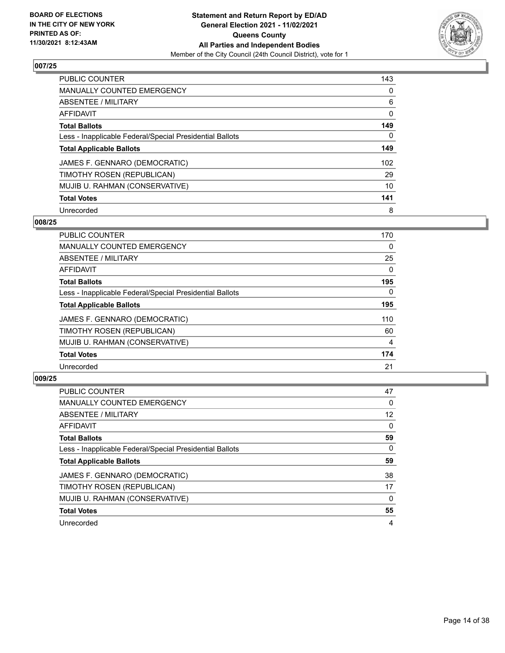

| <b>PUBLIC COUNTER</b>                                    | 143      |
|----------------------------------------------------------|----------|
| <b>MANUALLY COUNTED EMERGENCY</b>                        | $\Omega$ |
| ABSENTEE / MILITARY                                      | 6        |
| AFFIDAVIT                                                | 0        |
| <b>Total Ballots</b>                                     | 149      |
| Less - Inapplicable Federal/Special Presidential Ballots | 0        |
| <b>Total Applicable Ballots</b>                          | 149      |
| JAMES F. GENNARO (DEMOCRATIC)                            | 102      |
| TIMOTHY ROSEN (REPUBLICAN)                               | 29       |
| MUJIB U. RAHMAN (CONSERVATIVE)                           | 10       |
| <b>Total Votes</b>                                       | 141      |
| Unrecorded                                               | 8        |

#### **008/25**

| <b>PUBLIC COUNTER</b>                                    | 170      |
|----------------------------------------------------------|----------|
| MANUALLY COUNTED EMERGENCY                               | $\Omega$ |
| ABSENTEE / MILITARY                                      | 25       |
| <b>AFFIDAVIT</b>                                         | $\Omega$ |
| <b>Total Ballots</b>                                     | 195      |
| Less - Inapplicable Federal/Special Presidential Ballots | $\Omega$ |
| <b>Total Applicable Ballots</b>                          | 195      |
| JAMES F. GENNARO (DEMOCRATIC)                            | 110      |
| TIMOTHY ROSEN (REPUBLICAN)                               | 60       |
| MUJIB U. RAHMAN (CONSERVATIVE)                           | 4        |
| <b>Total Votes</b>                                       | 174      |
| Unrecorded                                               | 21       |

| PUBLIC COUNTER                                           | 47       |
|----------------------------------------------------------|----------|
| <b>MANUALLY COUNTED EMERGENCY</b>                        | 0        |
| ABSENTEE / MILITARY                                      | 12       |
| AFFIDAVIT                                                | $\Omega$ |
| <b>Total Ballots</b>                                     | 59       |
| Less - Inapplicable Federal/Special Presidential Ballots | 0        |
| <b>Total Applicable Ballots</b>                          | 59       |
| JAMES F. GENNARO (DEMOCRATIC)                            | 38       |
| TIMOTHY ROSEN (REPUBLICAN)                               | 17       |
| MUJIB U. RAHMAN (CONSERVATIVE)                           | $\Omega$ |
| <b>Total Votes</b>                                       | 55       |
| Unrecorded                                               | 4        |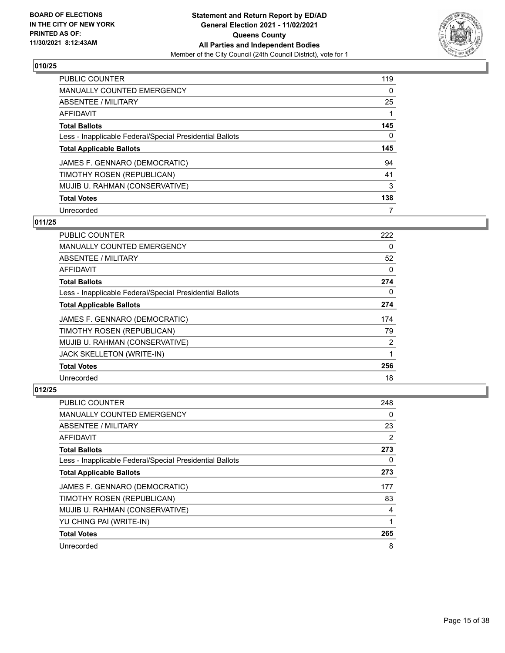

| PUBLIC COUNTER                                           | 119      |
|----------------------------------------------------------|----------|
| <b>MANUALLY COUNTED EMERGENCY</b>                        | $\Omega$ |
| ABSENTEE / MILITARY                                      | 25       |
| AFFIDAVIT                                                |          |
| <b>Total Ballots</b>                                     | 145      |
| Less - Inapplicable Federal/Special Presidential Ballots | 0        |
| <b>Total Applicable Ballots</b>                          | 145      |
| JAMES F. GENNARO (DEMOCRATIC)                            | 94       |
| TIMOTHY ROSEN (REPUBLICAN)                               | 41       |
| MUJIB U. RAHMAN (CONSERVATIVE)                           | 3        |
|                                                          |          |
| <b>Total Votes</b>                                       | 138      |

### **011/25**

| <b>PUBLIC COUNTER</b>                                    | 222            |
|----------------------------------------------------------|----------------|
| <b>MANUALLY COUNTED EMERGENCY</b>                        | $\Omega$       |
| ABSENTEE / MILITARY                                      | 52             |
| AFFIDAVIT                                                | 0              |
| <b>Total Ballots</b>                                     | 274            |
| Less - Inapplicable Federal/Special Presidential Ballots | 0              |
| <b>Total Applicable Ballots</b>                          | 274            |
| JAMES F. GENNARO (DEMOCRATIC)                            | 174            |
| TIMOTHY ROSEN (REPUBLICAN)                               | 79             |
| MUJIB U. RAHMAN (CONSERVATIVE)                           | $\overline{2}$ |
| JACK SKELLETON (WRITE-IN)                                |                |
| <b>Total Votes</b>                                       | 256            |
| Unrecorded                                               | 18             |

| PUBLIC COUNTER                                           | 248 |
|----------------------------------------------------------|-----|
| MANUALLY COUNTED EMERGENCY                               | 0   |
| ABSENTEE / MILITARY                                      | 23  |
| AFFIDAVIT                                                | 2   |
| <b>Total Ballots</b>                                     | 273 |
| Less - Inapplicable Federal/Special Presidential Ballots | 0   |
| <b>Total Applicable Ballots</b>                          | 273 |
| JAMES F. GENNARO (DEMOCRATIC)                            | 177 |
| TIMOTHY ROSEN (REPUBLICAN)                               | 83  |
| MUJIB U. RAHMAN (CONSERVATIVE)                           | 4   |
| YU CHING PAI (WRITE-IN)                                  | 1   |
| <b>Total Votes</b>                                       | 265 |
| Unrecorded                                               | 8   |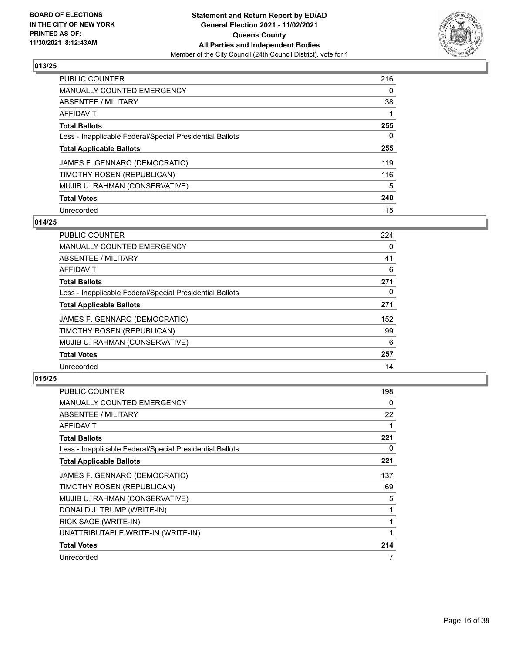

| PUBLIC COUNTER                                           | 216      |
|----------------------------------------------------------|----------|
| <b>MANUALLY COUNTED EMERGENCY</b>                        | $\Omega$ |
| ABSENTEE / MILITARY                                      | 38       |
| AFFIDAVIT                                                |          |
| <b>Total Ballots</b>                                     | 255      |
| Less - Inapplicable Federal/Special Presidential Ballots | 0        |
| <b>Total Applicable Ballots</b>                          | 255      |
| JAMES F. GENNARO (DEMOCRATIC)                            | 119      |
| TIMOTHY ROSEN (REPUBLICAN)                               | 116      |
| MUJIB U. RAHMAN (CONSERVATIVE)                           | 5        |
| <b>Total Votes</b>                                       | 240      |
| Unrecorded                                               | 15       |

# **014/25**

| <b>PUBLIC COUNTER</b>                                    | 224      |
|----------------------------------------------------------|----------|
| <b>MANUALLY COUNTED EMERGENCY</b>                        | 0        |
| ABSENTEE / MILITARY                                      | 41       |
| <b>AFFIDAVIT</b>                                         | 6        |
| <b>Total Ballots</b>                                     | 271      |
| Less - Inapplicable Federal/Special Presidential Ballots | $\Omega$ |
| <b>Total Applicable Ballots</b>                          | 271      |
| JAMES F. GENNARO (DEMOCRATIC)                            | 152      |
| TIMOTHY ROSEN (REPUBLICAN)                               | 99       |
| MUJIB U. RAHMAN (CONSERVATIVE)                           | 6        |
| <b>Total Votes</b>                                       | 257      |
| Unrecorded                                               | 14       |

| <b>PUBLIC COUNTER</b>                                    | 198 |
|----------------------------------------------------------|-----|
| MANUALLY COUNTED EMERGENCY                               | 0   |
| ABSENTEE / MILITARY                                      | 22  |
| <b>AFFIDAVIT</b>                                         | 1   |
| <b>Total Ballots</b>                                     | 221 |
| Less - Inapplicable Federal/Special Presidential Ballots | 0   |
| <b>Total Applicable Ballots</b>                          | 221 |
| JAMES F. GENNARO (DEMOCRATIC)                            | 137 |
| TIMOTHY ROSEN (REPUBLICAN)                               | 69  |
| MUJIB U. RAHMAN (CONSERVATIVE)                           | 5   |
| DONALD J. TRUMP (WRITE-IN)                               | 1   |
| RICK SAGE (WRITE-IN)                                     | 1   |
| UNATTRIBUTABLE WRITE-IN (WRITE-IN)                       | 1   |
| <b>Total Votes</b>                                       | 214 |
| Unrecorded                                               | 7   |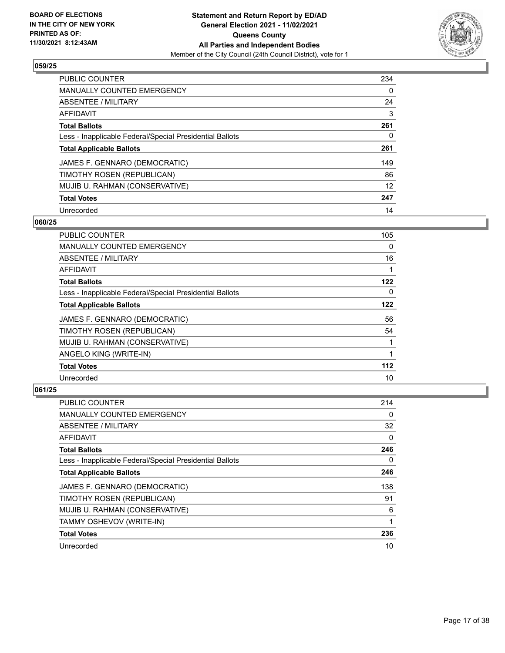

| <b>PUBLIC COUNTER</b>                                    | 234      |
|----------------------------------------------------------|----------|
| <b>MANUALLY COUNTED EMERGENCY</b>                        | $\Omega$ |
| ABSENTEE / MILITARY                                      | 24       |
| AFFIDAVIT                                                | 3        |
| <b>Total Ballots</b>                                     | 261      |
| Less - Inapplicable Federal/Special Presidential Ballots | 0        |
| <b>Total Applicable Ballots</b>                          | 261      |
| JAMES F. GENNARO (DEMOCRATIC)                            | 149      |
| TIMOTHY ROSEN (REPUBLICAN)                               | 86       |
| MUJIB U. RAHMAN (CONSERVATIVE)                           | 12       |
| <b>Total Votes</b>                                       | 247      |
| Unrecorded                                               | 14       |

#### **060/25**

| <b>PUBLIC COUNTER</b>                                    | 105      |
|----------------------------------------------------------|----------|
| <b>MANUALLY COUNTED EMERGENCY</b>                        | $\Omega$ |
| ABSENTEE / MILITARY                                      | 16       |
| AFFIDAVIT                                                | 1        |
| <b>Total Ballots</b>                                     | 122      |
| Less - Inapplicable Federal/Special Presidential Ballots | $\Omega$ |
| <b>Total Applicable Ballots</b>                          | 122      |
| JAMES F. GENNARO (DEMOCRATIC)                            | 56       |
| TIMOTHY ROSEN (REPUBLICAN)                               | 54       |
| MUJIB U. RAHMAN (CONSERVATIVE)                           |          |
| ANGELO KING (WRITE-IN)                                   | 1        |
| <b>Total Votes</b>                                       | $112$    |
| Unrecorded                                               | 10       |

| <b>PUBLIC COUNTER</b>                                    | 214 |
|----------------------------------------------------------|-----|
| MANUALLY COUNTED EMERGENCY                               | 0   |
| ABSENTEE / MILITARY                                      | 32  |
| AFFIDAVIT                                                | 0   |
| <b>Total Ballots</b>                                     | 246 |
| Less - Inapplicable Federal/Special Presidential Ballots | 0   |
| <b>Total Applicable Ballots</b>                          | 246 |
| JAMES F. GENNARO (DEMOCRATIC)                            | 138 |
| TIMOTHY ROSEN (REPUBLICAN)                               | 91  |
| MUJIB U. RAHMAN (CONSERVATIVE)                           | 6   |
| TAMMY OSHEVOV (WRITE-IN)                                 | 1   |
| <b>Total Votes</b>                                       | 236 |
| Unrecorded                                               | 10  |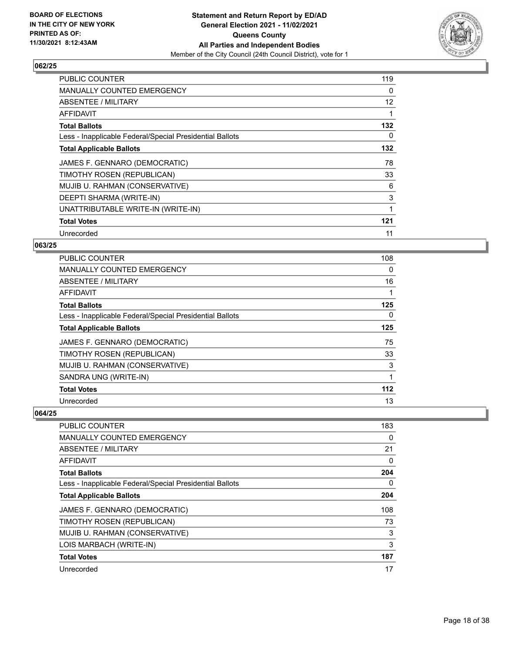

| <b>PUBLIC COUNTER</b>                                    | 119 |
|----------------------------------------------------------|-----|
| <b>MANUALLY COUNTED EMERGENCY</b>                        | 0   |
| ABSENTEE / MILITARY                                      | 12  |
| AFFIDAVIT                                                |     |
| <b>Total Ballots</b>                                     | 132 |
| Less - Inapplicable Federal/Special Presidential Ballots | 0   |
| <b>Total Applicable Ballots</b>                          | 132 |
| JAMES F. GENNARO (DEMOCRATIC)                            | 78  |
| TIMOTHY ROSEN (REPUBLICAN)                               | 33  |
| MUJIB U. RAHMAN (CONSERVATIVE)                           | 6   |
| DEEPTI SHARMA (WRITE-IN)                                 | 3   |
| UNATTRIBUTABLE WRITE-IN (WRITE-IN)                       | 1   |
| <b>Total Votes</b>                                       | 121 |
| Unrecorded                                               | 11  |

# **063/25**

| <b>PUBLIC COUNTER</b>                                    | 108 |
|----------------------------------------------------------|-----|
| <b>MANUALLY COUNTED EMERGENCY</b>                        | 0   |
| ABSENTEE / MILITARY                                      | 16  |
| AFFIDAVIT                                                |     |
| <b>Total Ballots</b>                                     | 125 |
| Less - Inapplicable Federal/Special Presidential Ballots | 0   |
| <b>Total Applicable Ballots</b>                          | 125 |
| JAMES F. GENNARO (DEMOCRATIC)                            | 75  |
| TIMOTHY ROSEN (REPUBLICAN)                               | 33  |
| MUJIB U. RAHMAN (CONSERVATIVE)                           | 3   |
| SANDRA UNG (WRITE-IN)                                    | 1   |
| <b>Total Votes</b>                                       | 112 |
| Unrecorded                                               | 13  |

| <b>PUBLIC COUNTER</b>                                    | 183      |
|----------------------------------------------------------|----------|
| <b>MANUALLY COUNTED EMERGENCY</b>                        | 0        |
| ABSENTEE / MILITARY                                      | 21       |
| AFFIDAVIT                                                | 0        |
| <b>Total Ballots</b>                                     | 204      |
| Less - Inapplicable Federal/Special Presidential Ballots | $\Omega$ |
| <b>Total Applicable Ballots</b>                          | 204      |
| JAMES F. GENNARO (DEMOCRATIC)                            | 108      |
| TIMOTHY ROSEN (REPUBLICAN)                               | 73       |
| MUJIB U. RAHMAN (CONSERVATIVE)                           | 3        |
| LOIS MARBACH (WRITE-IN)                                  | 3        |
| <b>Total Votes</b>                                       | 187      |
| Unrecorded                                               | 17       |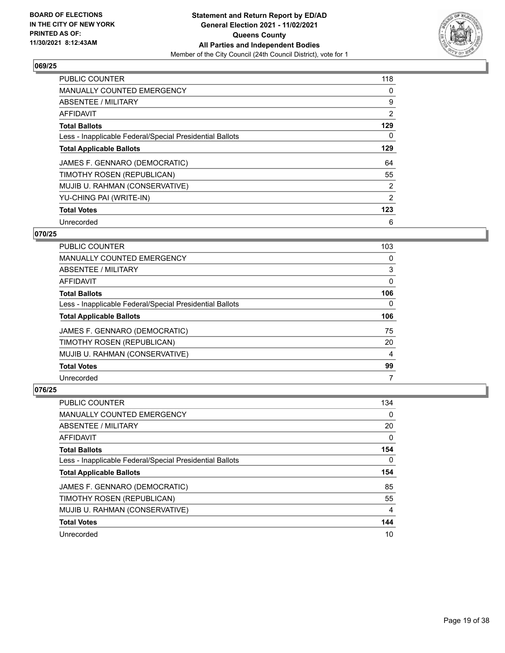

| <b>PUBLIC COUNTER</b>                                    | 118            |
|----------------------------------------------------------|----------------|
| <b>MANUALLY COUNTED EMERGENCY</b>                        | 0              |
| ABSENTEE / MILITARY                                      | 9              |
| AFFIDAVIT                                                | $\overline{2}$ |
| <b>Total Ballots</b>                                     | 129            |
| Less - Inapplicable Federal/Special Presidential Ballots | 0              |
| <b>Total Applicable Ballots</b>                          | 129            |
| JAMES F. GENNARO (DEMOCRATIC)                            | 64             |
| TIMOTHY ROSEN (REPUBLICAN)                               | 55             |
| MUJIB U. RAHMAN (CONSERVATIVE)                           | $\overline{2}$ |
| YU-CHING PAI (WRITE-IN)                                  | $\overline{2}$ |
| <b>Total Votes</b>                                       | 123            |
| Unrecorded                                               | 6              |

## **070/25**

| <b>PUBLIC COUNTER</b>                                    | 103      |
|----------------------------------------------------------|----------|
| MANUALLY COUNTED EMERGENCY                               | 0        |
| ABSENTEE / MILITARY                                      | 3        |
| AFFIDAVIT                                                | $\Omega$ |
| <b>Total Ballots</b>                                     | 106      |
| Less - Inapplicable Federal/Special Presidential Ballots | 0        |
|                                                          |          |
| <b>Total Applicable Ballots</b>                          | 106      |
| JAMES F. GENNARO (DEMOCRATIC)                            | 75       |
| TIMOTHY ROSEN (REPUBLICAN)                               | 20       |
| MUJIB U. RAHMAN (CONSERVATIVE)                           | 4        |
| <b>Total Votes</b>                                       | 99       |

| PUBLIC COUNTER                                           | 134      |
|----------------------------------------------------------|----------|
| <b>MANUALLY COUNTED EMERGENCY</b>                        | 0        |
| ABSENTEE / MILITARY                                      | 20       |
| AFFIDAVIT                                                | $\Omega$ |
| <b>Total Ballots</b>                                     | 154      |
| Less - Inapplicable Federal/Special Presidential Ballots | 0        |
|                                                          |          |
| <b>Total Applicable Ballots</b>                          | 154      |
| JAMES F. GENNARO (DEMOCRATIC)                            | 85       |
| TIMOTHY ROSEN (REPUBLICAN)                               | 55       |
| MUJIB U. RAHMAN (CONSERVATIVE)                           | 4        |
| <b>Total Votes</b>                                       | 144      |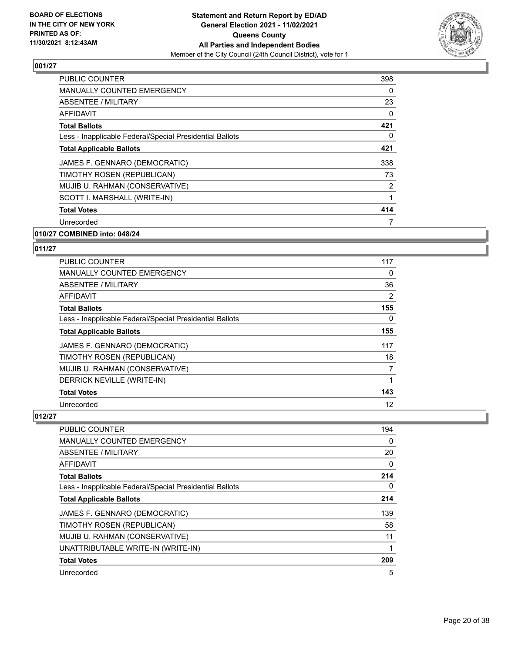

| <b>PUBLIC COUNTER</b>                                    | 398      |
|----------------------------------------------------------|----------|
| <b>MANUALLY COUNTED EMERGENCY</b>                        | 0        |
| ABSENTEE / MILITARY                                      | 23       |
| <b>AFFIDAVIT</b>                                         | $\Omega$ |
| <b>Total Ballots</b>                                     | 421      |
| Less - Inapplicable Federal/Special Presidential Ballots | 0        |
| <b>Total Applicable Ballots</b>                          | 421      |
| JAMES F. GENNARO (DEMOCRATIC)                            | 338      |
| TIMOTHY ROSEN (REPUBLICAN)                               | 73       |
| MUJIB U. RAHMAN (CONSERVATIVE)                           | 2        |
| SCOTT I. MARSHALL (WRITE-IN)                             |          |
| <b>Total Votes</b>                                       | 414      |
| Unrecorded                                               |          |

#### **010/27 COMBINED into: 048/24**

#### **011/27**

| PUBLIC COUNTER                                           | 117 |
|----------------------------------------------------------|-----|
| MANUALLY COUNTED EMERGENCY                               | 0   |
| ABSENTEE / MILITARY                                      | 36  |
| AFFIDAVIT                                                | 2   |
| <b>Total Ballots</b>                                     | 155 |
| Less - Inapplicable Federal/Special Presidential Ballots | 0   |
| <b>Total Applicable Ballots</b>                          | 155 |
| JAMES F. GENNARO (DEMOCRATIC)                            | 117 |
| TIMOTHY ROSEN (REPUBLICAN)                               | 18  |
| MUJIB U. RAHMAN (CONSERVATIVE)                           | 7   |
| DERRICK NEVILLE (WRITE-IN)                               | 1   |
| <b>Total Votes</b>                                       | 143 |
| Unrecorded                                               | 12  |

| <b>PUBLIC COUNTER</b>                                    | 194      |
|----------------------------------------------------------|----------|
| <b>MANUALLY COUNTED EMERGENCY</b>                        | 0        |
| ABSENTEE / MILITARY                                      | 20       |
| AFFIDAVIT                                                | 0        |
| <b>Total Ballots</b>                                     | 214      |
| Less - Inapplicable Federal/Special Presidential Ballots | $\Omega$ |
| <b>Total Applicable Ballots</b>                          | 214      |
| JAMES F. GENNARO (DEMOCRATIC)                            | 139      |
| TIMOTHY ROSEN (REPUBLICAN)                               | 58       |
| MUJIB U. RAHMAN (CONSERVATIVE)                           | 11       |
| UNATTRIBUTABLE WRITE-IN (WRITE-IN)                       |          |
| <b>Total Votes</b>                                       | 209      |
| Unrecorded                                               | 5        |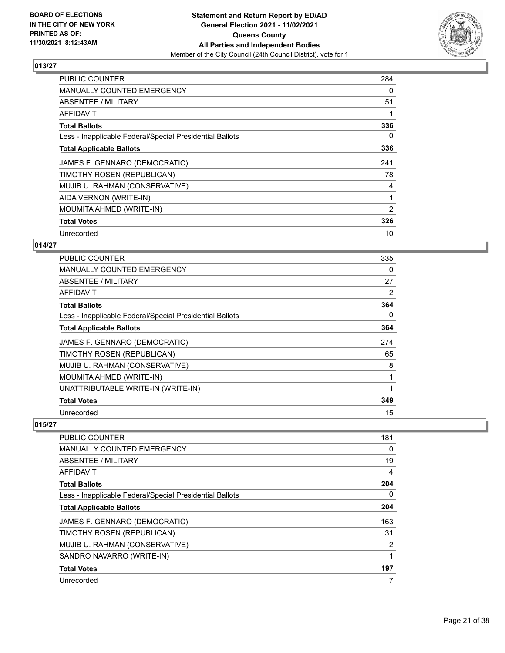

| <b>PUBLIC COUNTER</b>                                    | 284 |
|----------------------------------------------------------|-----|
| <b>MANUALLY COUNTED EMERGENCY</b>                        | 0   |
| ABSENTEE / MILITARY                                      | 51  |
| AFFIDAVIT                                                |     |
| <b>Total Ballots</b>                                     | 336 |
| Less - Inapplicable Federal/Special Presidential Ballots | 0   |
| <b>Total Applicable Ballots</b>                          | 336 |
| JAMES F. GENNARO (DEMOCRATIC)                            | 241 |
| TIMOTHY ROSEN (REPUBLICAN)                               | 78  |
| MUJIB U. RAHMAN (CONSERVATIVE)                           | 4   |
| AIDA VERNON (WRITE-IN)                                   | 1   |
| MOUMITA AHMED (WRITE-IN)                                 | 2   |
| <b>Total Votes</b>                                       | 326 |
| Unrecorded                                               | 10  |

## **014/27**

| PUBLIC COUNTER                                           | 335 |
|----------------------------------------------------------|-----|
| <b>MANUALLY COUNTED EMERGENCY</b>                        | 0   |
| ABSENTEE / MILITARY                                      | 27  |
| AFFIDAVIT                                                | 2   |
| <b>Total Ballots</b>                                     | 364 |
| Less - Inapplicable Federal/Special Presidential Ballots | 0   |
| <b>Total Applicable Ballots</b>                          | 364 |
| JAMES F. GENNARO (DEMOCRATIC)                            | 274 |
| TIMOTHY ROSEN (REPUBLICAN)                               | 65  |
| MUJIB U. RAHMAN (CONSERVATIVE)                           | 8   |
| MOUMITA AHMED (WRITE-IN)                                 | 1   |
| UNATTRIBUTABLE WRITE-IN (WRITE-IN)                       |     |
| <b>Total Votes</b>                                       | 349 |
| Unrecorded                                               | 15  |

| <b>PUBLIC COUNTER</b>                                    | 181 |
|----------------------------------------------------------|-----|
| <b>MANUALLY COUNTED EMERGENCY</b>                        | 0   |
| ABSENTEE / MILITARY                                      | 19  |
| <b>AFFIDAVIT</b>                                         | 4   |
| <b>Total Ballots</b>                                     | 204 |
| Less - Inapplicable Federal/Special Presidential Ballots | 0   |
| <b>Total Applicable Ballots</b>                          | 204 |
| JAMES F. GENNARO (DEMOCRATIC)                            | 163 |
| TIMOTHY ROSEN (REPUBLICAN)                               | 31  |
| MUJIB U. RAHMAN (CONSERVATIVE)                           | 2   |
| SANDRO NAVARRO (WRITE-IN)                                |     |
| <b>Total Votes</b>                                       | 197 |
| Unrecorded                                               | 7   |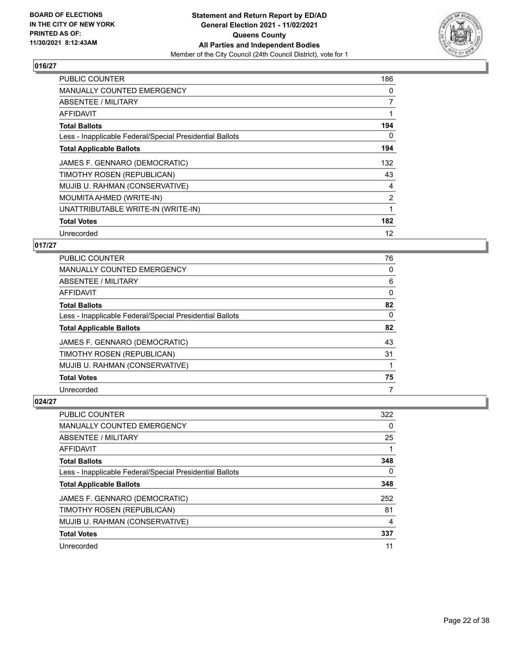

| <b>PUBLIC COUNTER</b>                                    | 186            |
|----------------------------------------------------------|----------------|
| <b>MANUALLY COUNTED EMERGENCY</b>                        | 0              |
| <b>ABSENTEE / MILITARY</b>                               | 7              |
| AFFIDAVIT                                                |                |
| <b>Total Ballots</b>                                     | 194            |
| Less - Inapplicable Federal/Special Presidential Ballots | 0              |
| <b>Total Applicable Ballots</b>                          | 194            |
| JAMES F. GENNARO (DEMOCRATIC)                            | 132            |
| TIMOTHY ROSEN (REPUBLICAN)                               | 43             |
| MUJIB U. RAHMAN (CONSERVATIVE)                           | 4              |
| MOUMITA AHMED (WRITE-IN)                                 | $\overline{2}$ |
| UNATTRIBUTABLE WRITE-IN (WRITE-IN)                       | 1              |
| <b>Total Votes</b>                                       | 182            |
| Unrecorded                                               | 12             |

## **017/27**

| <b>PUBLIC COUNTER</b>                                    | 76 |
|----------------------------------------------------------|----|
| <b>MANUALLY COUNTED EMERGENCY</b>                        | 0  |
| ABSENTEE / MILITARY                                      | 6  |
| AFFIDAVIT                                                | 0  |
| <b>Total Ballots</b>                                     | 82 |
| Less - Inapplicable Federal/Special Presidential Ballots | 0  |
| <b>Total Applicable Ballots</b>                          | 82 |
| JAMES F. GENNARO (DEMOCRATIC)                            | 43 |
| TIMOTHY ROSEN (REPUBLICAN)                               | 31 |
| MUJIB U. RAHMAN (CONSERVATIVE)                           |    |
| <b>Total Votes</b>                                       | 75 |
| Unrecorded                                               | 7  |

| PUBLIC COUNTER                                           | 322 |
|----------------------------------------------------------|-----|
| <b>MANUALLY COUNTED EMERGENCY</b>                        | 0   |
| ABSENTEE / MILITARY                                      | 25  |
| AFFIDAVIT                                                |     |
| <b>Total Ballots</b>                                     | 348 |
| Less - Inapplicable Federal/Special Presidential Ballots | 0   |
| <b>Total Applicable Ballots</b>                          | 348 |
| JAMES F. GENNARO (DEMOCRATIC)                            | 252 |
| TIMOTHY ROSEN (REPUBLICAN)                               | 81  |
| MUJIB U. RAHMAN (CONSERVATIVE)                           | 4   |
| <b>Total Votes</b>                                       | 337 |
| Unrecorded                                               | 11  |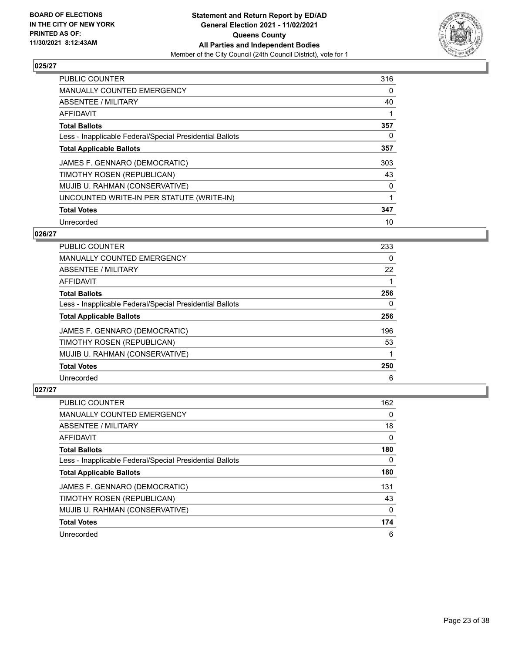

| <b>PUBLIC COUNTER</b>                                    | 316      |
|----------------------------------------------------------|----------|
| MANUALLY COUNTED EMERGENCY                               | 0        |
| ABSENTEE / MILITARY                                      | 40       |
| AFFIDAVIT                                                |          |
| <b>Total Ballots</b>                                     | 357      |
| Less - Inapplicable Federal/Special Presidential Ballots | $\Omega$ |
| <b>Total Applicable Ballots</b>                          | 357      |
| JAMES F. GENNARO (DEMOCRATIC)                            | 303      |
| TIMOTHY ROSEN (REPUBLICAN)                               | 43       |
| MUJIB U. RAHMAN (CONSERVATIVE)                           | 0        |
| UNCOUNTED WRITE-IN PER STATUTE (WRITE-IN)                |          |
| <b>Total Votes</b>                                       | 347      |
| Unrecorded                                               | 10       |

### **026/27**

| PUBLIC COUNTER                                           | 233 |
|----------------------------------------------------------|-----|
| <b>MANUALLY COUNTED EMERGENCY</b>                        | 0   |
| ABSENTEE / MILITARY                                      | 22  |
| AFFIDAVIT                                                |     |
| <b>Total Ballots</b>                                     | 256 |
| Less - Inapplicable Federal/Special Presidential Ballots | 0   |
| <b>Total Applicable Ballots</b>                          | 256 |
| JAMES F. GENNARO (DEMOCRATIC)                            | 196 |
| TIMOTHY ROSEN (REPUBLICAN)                               | 53  |
| MUJIB U. RAHMAN (CONSERVATIVE)                           |     |
| <b>Total Votes</b>                                       | 250 |
| Unrecorded                                               | 6   |

| PUBLIC COUNTER                                           | 162 |
|----------------------------------------------------------|-----|
| <b>MANUALLY COUNTED EMERGENCY</b>                        | 0   |
| ABSENTEE / MILITARY                                      | 18  |
| AFFIDAVIT                                                | 0   |
| <b>Total Ballots</b>                                     | 180 |
| Less - Inapplicable Federal/Special Presidential Ballots | 0   |
| <b>Total Applicable Ballots</b>                          | 180 |
| JAMES F. GENNARO (DEMOCRATIC)                            | 131 |
| TIMOTHY ROSEN (REPUBLICAN)                               | 43  |
| MUJIB U. RAHMAN (CONSERVATIVE)                           | 0   |
| <b>Total Votes</b>                                       | 174 |
| Unrecorded                                               | 6   |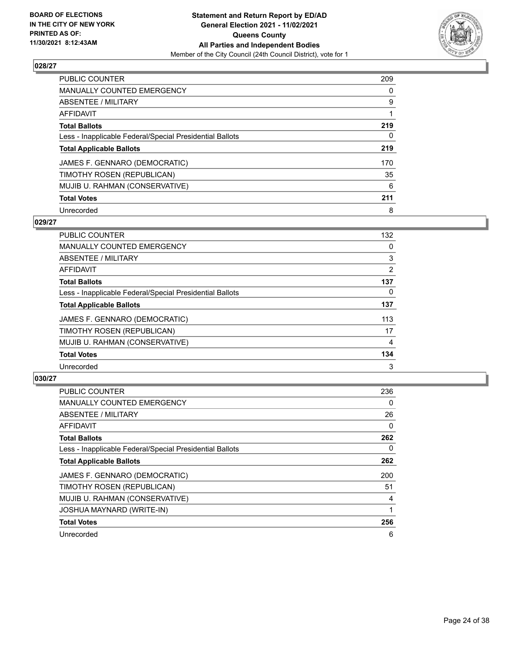

| PUBLIC COUNTER                                           | 209      |
|----------------------------------------------------------|----------|
| <b>MANUALLY COUNTED EMERGENCY</b>                        | $\Omega$ |
| ABSENTEE / MILITARY                                      | 9        |
| AFFIDAVIT                                                |          |
| <b>Total Ballots</b>                                     | 219      |
| Less - Inapplicable Federal/Special Presidential Ballots | 0        |
| <b>Total Applicable Ballots</b>                          | 219      |
| JAMES F. GENNARO (DEMOCRATIC)                            | 170      |
| TIMOTHY ROSEN (REPUBLICAN)                               | 35       |
| MUJIB U. RAHMAN (CONSERVATIVE)                           | 6        |
| <b>Total Votes</b>                                       | 211      |
| Unrecorded                                               | 8        |

#### **029/27**

| <b>PUBLIC COUNTER</b>                                    | 132            |
|----------------------------------------------------------|----------------|
| <b>MANUALLY COUNTED EMERGENCY</b>                        | 0              |
| ABSENTEE / MILITARY                                      | 3              |
| <b>AFFIDAVIT</b>                                         | $\overline{2}$ |
| <b>Total Ballots</b>                                     | 137            |
| Less - Inapplicable Federal/Special Presidential Ballots | $\Omega$       |
| <b>Total Applicable Ballots</b>                          | 137            |
| JAMES F. GENNARO (DEMOCRATIC)                            | 113            |
| TIMOTHY ROSEN (REPUBLICAN)                               | 17             |
| MUJIB U. RAHMAN (CONSERVATIVE)                           | 4              |
| <b>Total Votes</b>                                       | 134            |
| Unrecorded                                               | 3              |

| <b>PUBLIC COUNTER</b>                                    | 236 |
|----------------------------------------------------------|-----|
| <b>MANUALLY COUNTED EMERGENCY</b>                        | 0   |
| ABSENTEE / MILITARY                                      | 26  |
| AFFIDAVIT                                                | 0   |
| <b>Total Ballots</b>                                     | 262 |
| Less - Inapplicable Federal/Special Presidential Ballots | 0   |
| <b>Total Applicable Ballots</b>                          | 262 |
| JAMES F. GENNARO (DEMOCRATIC)                            | 200 |
| TIMOTHY ROSEN (REPUBLICAN)                               | 51  |
| MUJIB U. RAHMAN (CONSERVATIVE)                           | 4   |
| <b>JOSHUA MAYNARD (WRITE-IN)</b>                         |     |
| <b>Total Votes</b>                                       | 256 |
| Unrecorded                                               | 6   |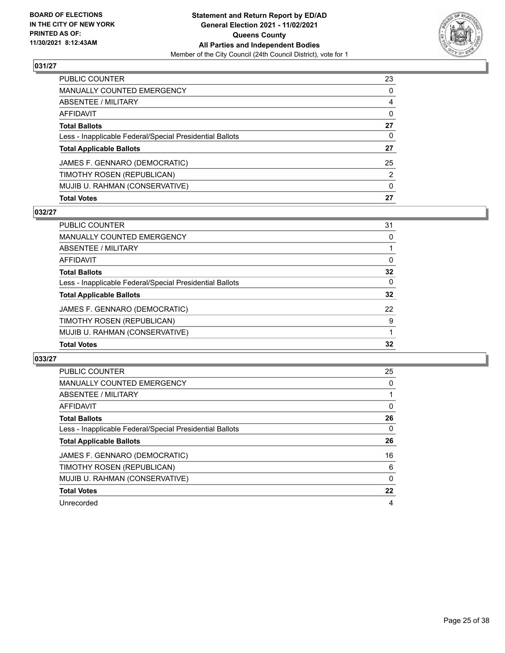

| MUJIB U. RAHMAN (CONSERVATIVE)                           | $\mathbf{0}$ |
|----------------------------------------------------------|--------------|
| TIMOTHY ROSEN (REPUBLICAN)                               | 2            |
| JAMES F. GENNARO (DEMOCRATIC)                            | 25           |
| <b>Total Applicable Ballots</b>                          | 27           |
| Less - Inapplicable Federal/Special Presidential Ballots | 0            |
| <b>Total Ballots</b>                                     | 27           |
| <b>AFFIDAVIT</b>                                         | $\Omega$     |
| <b>ABSENTEE / MILITARY</b>                               | 4            |
| <b>MANUALLY COUNTED EMERGENCY</b>                        | 0            |
| PUBLIC COUNTER                                           | 23           |

## **032/27**

| <b>Total Votes</b>                                       | 32       |
|----------------------------------------------------------|----------|
| MUJIB U. RAHMAN (CONSERVATIVE)                           |          |
| TIMOTHY ROSEN (REPUBLICAN)                               | 9        |
| JAMES F. GENNARO (DEMOCRATIC)                            | 22       |
| <b>Total Applicable Ballots</b>                          | 32       |
| Less - Inapplicable Federal/Special Presidential Ballots | $\Omega$ |
| <b>Total Ballots</b>                                     | 32       |
| AFFIDAVIT                                                | $\Omega$ |
| ABSENTEE / MILITARY                                      |          |
| MANUALLY COUNTED EMERGENCY                               | $\Omega$ |
| PUBLIC COUNTER                                           | 31       |

| <b>PUBLIC COUNTER</b>                                    | 25 |
|----------------------------------------------------------|----|
| <b>MANUALLY COUNTED EMERGENCY</b>                        | 0  |
| ABSENTEE / MILITARY                                      |    |
| AFFIDAVIT                                                | 0  |
| <b>Total Ballots</b>                                     | 26 |
| Less - Inapplicable Federal/Special Presidential Ballots | 0  |
| <b>Total Applicable Ballots</b>                          | 26 |
| JAMES F. GENNARO (DEMOCRATIC)                            | 16 |
| TIMOTHY ROSEN (REPUBLICAN)                               | 6  |
| MUJIB U. RAHMAN (CONSERVATIVE)                           | 0  |
| <b>Total Votes</b>                                       | 22 |
| Unrecorded                                               | 4  |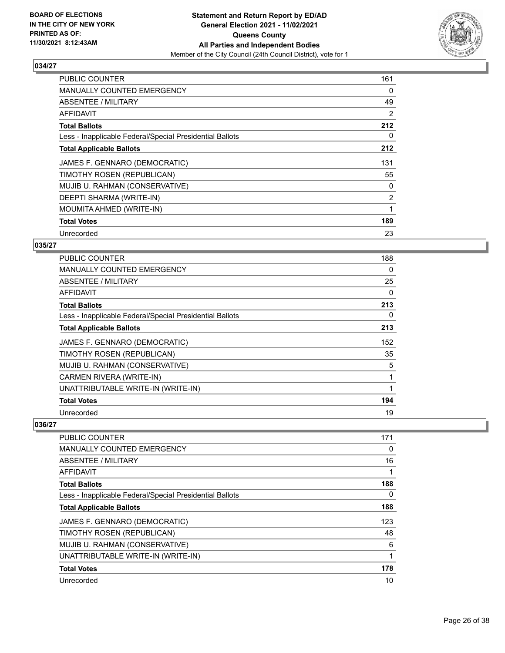

| <b>PUBLIC COUNTER</b>                                    | 161            |
|----------------------------------------------------------|----------------|
| <b>MANUALLY COUNTED EMERGENCY</b>                        | 0              |
| ABSENTEE / MILITARY                                      | 49             |
| AFFIDAVIT                                                | 2              |
| <b>Total Ballots</b>                                     | 212            |
| Less - Inapplicable Federal/Special Presidential Ballots | 0              |
| <b>Total Applicable Ballots</b>                          | 212            |
| JAMES F. GENNARO (DEMOCRATIC)                            | 131            |
| TIMOTHY ROSEN (REPUBLICAN)                               | 55             |
| MUJIB U. RAHMAN (CONSERVATIVE)                           | 0              |
| DEEPTI SHARMA (WRITE-IN)                                 | $\overline{2}$ |
| MOUMITA AHMED (WRITE-IN)                                 | 1              |
| <b>Total Votes</b>                                       | 189            |
| Unrecorded                                               | 23             |

## **035/27**

| <b>PUBLIC COUNTER</b>                                    | 188      |
|----------------------------------------------------------|----------|
| <b>MANUALLY COUNTED EMERGENCY</b>                        | 0        |
| ABSENTEE / MILITARY                                      | 25       |
| AFFIDAVIT                                                | $\Omega$ |
| <b>Total Ballots</b>                                     | 213      |
| Less - Inapplicable Federal/Special Presidential Ballots | 0        |
| <b>Total Applicable Ballots</b>                          | 213      |
| JAMES F. GENNARO (DEMOCRATIC)                            | 152      |
| TIMOTHY ROSEN (REPUBLICAN)                               | 35       |
| MUJIB U. RAHMAN (CONSERVATIVE)                           | 5        |
| CARMEN RIVERA (WRITE-IN)                                 | 1        |
| UNATTRIBUTABLE WRITE-IN (WRITE-IN)                       |          |
| <b>Total Votes</b>                                       | 194      |
| Unrecorded                                               | 19       |

| <b>PUBLIC COUNTER</b>                                    | 171 |
|----------------------------------------------------------|-----|
| <b>MANUALLY COUNTED EMERGENCY</b>                        | 0   |
| ABSENTEE / MILITARY                                      | 16  |
| AFFIDAVIT                                                |     |
| <b>Total Ballots</b>                                     | 188 |
| Less - Inapplicable Federal/Special Presidential Ballots | 0   |
| <b>Total Applicable Ballots</b>                          | 188 |
| JAMES F. GENNARO (DEMOCRATIC)                            | 123 |
| TIMOTHY ROSEN (REPUBLICAN)                               | 48  |
| MUJIB U. RAHMAN (CONSERVATIVE)                           | 6   |
| UNATTRIBUTABLE WRITE-IN (WRITE-IN)                       |     |
| <b>Total Votes</b>                                       | 178 |
| Unrecorded                                               | 10  |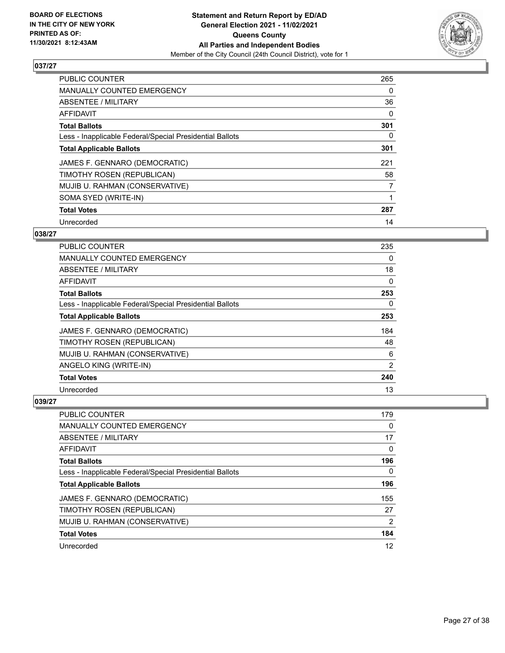

| <b>PUBLIC COUNTER</b>                                    | 265 |
|----------------------------------------------------------|-----|
| <b>MANUALLY COUNTED EMERGENCY</b>                        | 0   |
| ABSENTEE / MILITARY                                      | 36  |
| AFFIDAVIT                                                | 0   |
| <b>Total Ballots</b>                                     | 301 |
| Less - Inapplicable Federal/Special Presidential Ballots | 0   |
| <b>Total Applicable Ballots</b>                          | 301 |
| JAMES F. GENNARO (DEMOCRATIC)                            | 221 |
| TIMOTHY ROSEN (REPUBLICAN)                               | 58  |
| MUJIB U. RAHMAN (CONSERVATIVE)                           | 7   |
| SOMA SYED (WRITE-IN)                                     |     |
| <b>Total Votes</b>                                       | 287 |
| Unrecorded                                               | 14  |

# **038/27**

| <b>PUBLIC COUNTER</b>                                    | 235      |
|----------------------------------------------------------|----------|
| MANUALLY COUNTED EMERGENCY                               | $\Omega$ |
| ABSENTEE / MILITARY                                      | 18       |
| AFFIDAVIT                                                | 0        |
| <b>Total Ballots</b>                                     | 253      |
| Less - Inapplicable Federal/Special Presidential Ballots | 0        |
| <b>Total Applicable Ballots</b>                          | 253      |
| JAMES F. GENNARO (DEMOCRATIC)                            | 184      |
| TIMOTHY ROSEN (REPUBLICAN)                               | 48       |
| MUJIB U. RAHMAN (CONSERVATIVE)                           | 6        |
| ANGELO KING (WRITE-IN)                                   | 2        |
| <b>Total Votes</b>                                       | 240      |
| Unrecorded                                               | 13       |

| PUBLIC COUNTER                                           | 179 |
|----------------------------------------------------------|-----|
| MANUALLY COUNTED EMERGENCY                               | 0   |
| ABSENTEE / MILITARY                                      | 17  |
| AFFIDAVIT                                                | 0   |
| <b>Total Ballots</b>                                     | 196 |
| Less - Inapplicable Federal/Special Presidential Ballots | 0   |
| <b>Total Applicable Ballots</b>                          | 196 |
| JAMES F. GENNARO (DEMOCRATIC)                            | 155 |
| TIMOTHY ROSEN (REPUBLICAN)                               | 27  |
| MUJIB U. RAHMAN (CONSERVATIVE)                           | 2   |
| <b>Total Votes</b>                                       | 184 |
| Unrecorded                                               | 12  |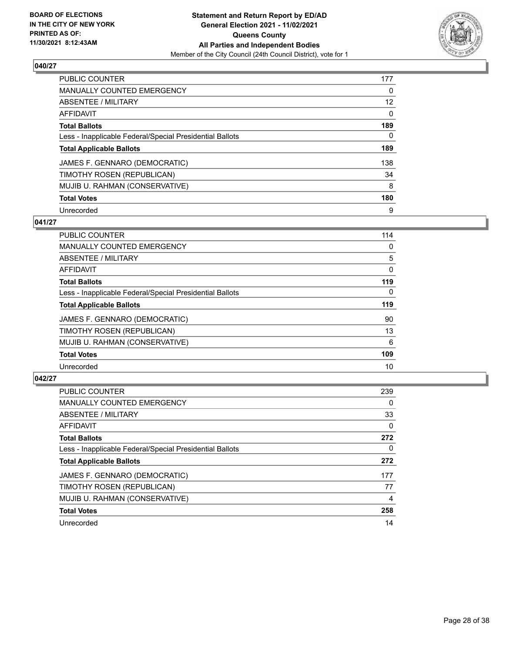

| PUBLIC COUNTER                                           | 177      |
|----------------------------------------------------------|----------|
| <b>MANUALLY COUNTED EMERGENCY</b>                        | $\Omega$ |
| ABSENTEE / MILITARY                                      | 12       |
| AFFIDAVIT                                                | $\Omega$ |
| <b>Total Ballots</b>                                     | 189      |
| Less - Inapplicable Federal/Special Presidential Ballots | 0        |
| <b>Total Applicable Ballots</b>                          | 189      |
| JAMES F. GENNARO (DEMOCRATIC)                            | 138      |
| TIMOTHY ROSEN (REPUBLICAN)                               | 34       |
| MUJIB U. RAHMAN (CONSERVATIVE)                           | 8        |
| <b>Total Votes</b>                                       | 180      |
| Unrecorded                                               | 9        |

#### **041/27**

| <b>PUBLIC COUNTER</b>                                    | 114      |
|----------------------------------------------------------|----------|
| <b>MANUALLY COUNTED EMERGENCY</b>                        | 0        |
| ABSENTEE / MILITARY                                      | 5        |
| <b>AFFIDAVIT</b>                                         | $\Omega$ |
| <b>Total Ballots</b>                                     | 119      |
| Less - Inapplicable Federal/Special Presidential Ballots | $\Omega$ |
| <b>Total Applicable Ballots</b>                          | 119      |
| JAMES F. GENNARO (DEMOCRATIC)                            | 90       |
| TIMOTHY ROSEN (REPUBLICAN)                               | 13       |
| MUJIB U. RAHMAN (CONSERVATIVE)                           | 6        |
| <b>Total Votes</b>                                       | 109      |
| Unrecorded                                               | 10       |

| <b>PUBLIC COUNTER</b>                                    | 239      |
|----------------------------------------------------------|----------|
| <b>MANUALLY COUNTED EMERGENCY</b>                        | 0        |
| <b>ABSENTEE / MILITARY</b>                               | 33       |
| <b>AFFIDAVIT</b>                                         | $\Omega$ |
| <b>Total Ballots</b>                                     | 272      |
| Less - Inapplicable Federal/Special Presidential Ballots | 0        |
| <b>Total Applicable Ballots</b>                          | 272      |
| JAMES F. GENNARO (DEMOCRATIC)                            | 177      |
| TIMOTHY ROSEN (REPUBLICAN)                               | 77       |
| MUJIB U. RAHMAN (CONSERVATIVE)                           | 4        |
| <b>Total Votes</b>                                       | 258      |
| Unrecorded                                               | 14       |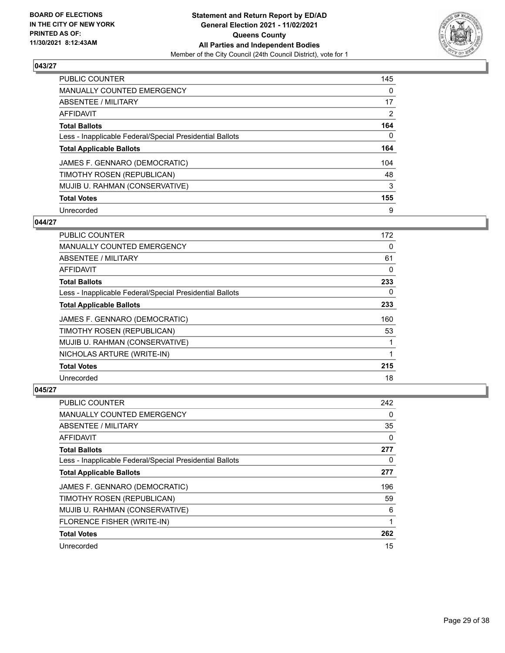

| PUBLIC COUNTER                                           | 145            |
|----------------------------------------------------------|----------------|
| <b>MANUALLY COUNTED EMERGENCY</b>                        | $\Omega$       |
| ABSENTEE / MILITARY                                      | 17             |
| AFFIDAVIT                                                | $\overline{2}$ |
| <b>Total Ballots</b>                                     | 164            |
| Less - Inapplicable Federal/Special Presidential Ballots | 0              |
| <b>Total Applicable Ballots</b>                          | 164            |
| JAMES F. GENNARO (DEMOCRATIC)                            | 104            |
| TIMOTHY ROSEN (REPUBLICAN)                               | 48             |
| MUJIB U. RAHMAN (CONSERVATIVE)                           | 3              |
| <b>Total Votes</b>                                       | 155            |
| Unrecorded                                               | 9              |

#### **044/27**

| <b>PUBLIC COUNTER</b>                                    | 172 |
|----------------------------------------------------------|-----|
| <b>MANUALLY COUNTED EMERGENCY</b>                        | 0   |
| ABSENTEE / MILITARY                                      | 61  |
| <b>AFFIDAVIT</b>                                         | 0   |
| <b>Total Ballots</b>                                     | 233 |
| Less - Inapplicable Federal/Special Presidential Ballots | 0   |
| <b>Total Applicable Ballots</b>                          | 233 |
| JAMES F. GENNARO (DEMOCRATIC)                            | 160 |
| TIMOTHY ROSEN (REPUBLICAN)                               | 53  |
| MUJIB U. RAHMAN (CONSERVATIVE)                           |     |
| NICHOLAS ARTURE (WRITE-IN)                               |     |
| <b>Total Votes</b>                                       | 215 |
| Unrecorded                                               | 18  |

| PUBLIC COUNTER                                           | 242 |
|----------------------------------------------------------|-----|
| MANUALLY COUNTED EMERGENCY                               | 0   |
| ABSENTEE / MILITARY                                      | 35  |
| AFFIDAVIT                                                | 0   |
| <b>Total Ballots</b>                                     | 277 |
| Less - Inapplicable Federal/Special Presidential Ballots | 0   |
| <b>Total Applicable Ballots</b>                          | 277 |
| JAMES F. GENNARO (DEMOCRATIC)                            | 196 |
| TIMOTHY ROSEN (REPUBLICAN)                               | 59  |
| MUJIB U. RAHMAN (CONSERVATIVE)                           | 6   |
| FLORENCE FISHER (WRITE-IN)                               | 1   |
| <b>Total Votes</b>                                       | 262 |
| Unrecorded                                               | 15  |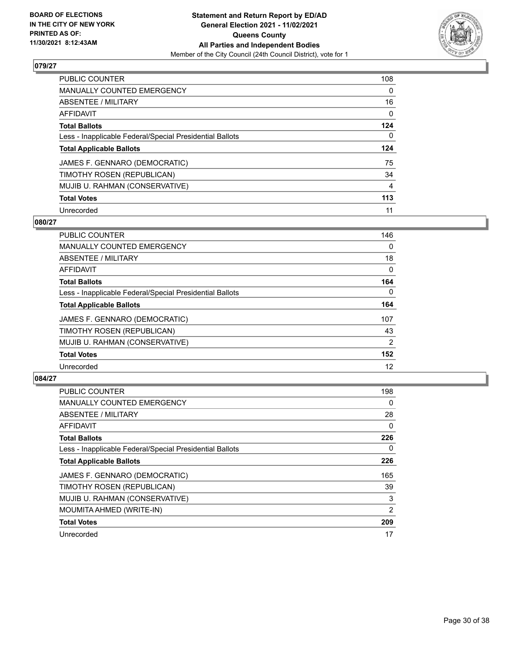

| PUBLIC COUNTER                                           | 108      |
|----------------------------------------------------------|----------|
| <b>MANUALLY COUNTED EMERGENCY</b>                        | $\Omega$ |
| ABSENTEE / MILITARY                                      | 16       |
| AFFIDAVIT                                                | 0        |
| <b>Total Ballots</b>                                     | 124      |
| Less - Inapplicable Federal/Special Presidential Ballots | 0        |
| <b>Total Applicable Ballots</b>                          | 124      |
| JAMES F. GENNARO (DEMOCRATIC)                            | 75       |
| TIMOTHY ROSEN (REPUBLICAN)                               | 34       |
| MUJIB U. RAHMAN (CONSERVATIVE)                           | 4        |
| <b>Total Votes</b>                                       | 113      |
| Unrecorded                                               | 11       |

#### **080/27**

| <b>PUBLIC COUNTER</b>                                    | 146            |
|----------------------------------------------------------|----------------|
| <b>MANUALLY COUNTED EMERGENCY</b>                        | $\Omega$       |
| <b>ABSENTEE / MILITARY</b>                               | 18             |
| <b>AFFIDAVIT</b>                                         | $\Omega$       |
| <b>Total Ballots</b>                                     | 164            |
| Less - Inapplicable Federal/Special Presidential Ballots | $\Omega$       |
| <b>Total Applicable Ballots</b>                          | 164            |
| JAMES F. GENNARO (DEMOCRATIC)                            | 107            |
| TIMOTHY ROSEN (REPUBLICAN)                               | 43             |
| MUJIB U. RAHMAN (CONSERVATIVE)                           | $\overline{2}$ |
| <b>Total Votes</b>                                       | 152            |
| Unrecorded                                               | 12             |

| <b>PUBLIC COUNTER</b>                                    | 198            |
|----------------------------------------------------------|----------------|
| <b>MANUALLY COUNTED EMERGENCY</b>                        | 0              |
| ABSENTEE / MILITARY                                      | 28             |
| AFFIDAVIT                                                | 0              |
| <b>Total Ballots</b>                                     | 226            |
| Less - Inapplicable Federal/Special Presidential Ballots | 0              |
| <b>Total Applicable Ballots</b>                          | 226            |
| JAMES F. GENNARO (DEMOCRATIC)                            | 165            |
| TIMOTHY ROSEN (REPUBLICAN)                               | 39             |
| MUJIB U. RAHMAN (CONSERVATIVE)                           | 3              |
| MOUMITA AHMED (WRITE-IN)                                 | $\overline{2}$ |
| <b>Total Votes</b>                                       | 209            |
| Unrecorded                                               | 17             |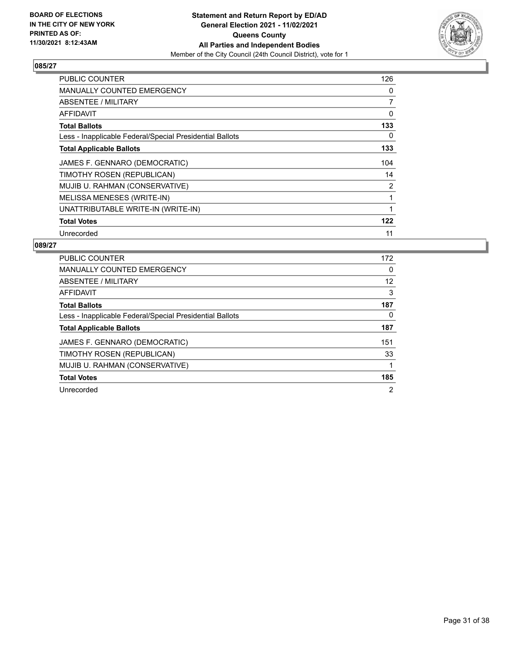

| <b>PUBLIC COUNTER</b>                                    | 126            |
|----------------------------------------------------------|----------------|
| MANUALLY COUNTED EMERGENCY                               | 0              |
| ABSENTEE / MILITARY                                      | $\overline{7}$ |
| <b>AFFIDAVIT</b>                                         | 0              |
| <b>Total Ballots</b>                                     | 133            |
| Less - Inapplicable Federal/Special Presidential Ballots | 0              |
| <b>Total Applicable Ballots</b>                          | 133            |
| JAMES F. GENNARO (DEMOCRATIC)                            | 104            |
| TIMOTHY ROSEN (REPUBLICAN)                               | 14             |
| MUJIB U. RAHMAN (CONSERVATIVE)                           | 2              |
| MELISSA MENESES (WRITE-IN)                               | 1              |
| UNATTRIBUTABLE WRITE-IN (WRITE-IN)                       |                |
| <b>Total Votes</b>                                       | 122            |
| Unrecorded                                               | 11             |

| <b>PUBLIC COUNTER</b>                                    | 172 |
|----------------------------------------------------------|-----|
| <b>MANUALLY COUNTED EMERGENCY</b>                        | 0   |
| ABSENTEE / MILITARY                                      | 12  |
| AFFIDAVIT                                                | 3   |
| <b>Total Ballots</b>                                     | 187 |
| Less - Inapplicable Federal/Special Presidential Ballots | 0   |
| <b>Total Applicable Ballots</b>                          | 187 |
| JAMES F. GENNARO (DEMOCRATIC)                            | 151 |
| TIMOTHY ROSEN (REPUBLICAN)                               | 33  |
| MUJIB U. RAHMAN (CONSERVATIVE)                           |     |
| <b>Total Votes</b>                                       | 185 |
| Unrecorded                                               | 2   |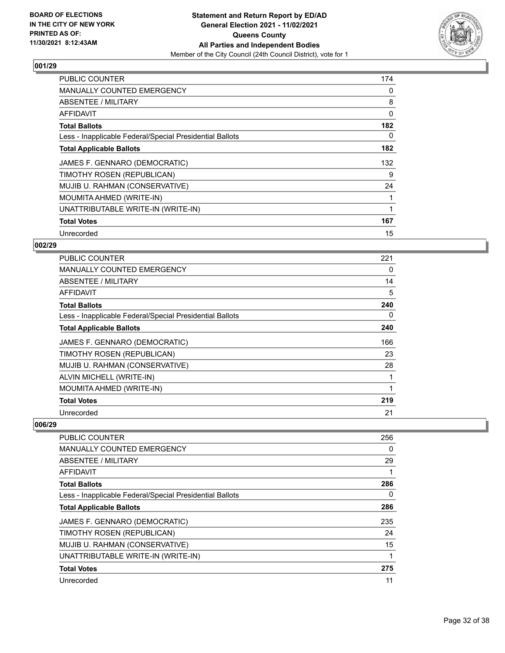

| <b>PUBLIC COUNTER</b>                                    | 174 |
|----------------------------------------------------------|-----|
| <b>MANUALLY COUNTED EMERGENCY</b>                        | 0   |
| ABSENTEE / MILITARY                                      | 8   |
| AFFIDAVIT                                                | 0   |
| <b>Total Ballots</b>                                     | 182 |
| Less - Inapplicable Federal/Special Presidential Ballots | 0   |
| <b>Total Applicable Ballots</b>                          | 182 |
| JAMES F. GENNARO (DEMOCRATIC)                            | 132 |
| TIMOTHY ROSEN (REPUBLICAN)                               | 9   |
| MUJIB U. RAHMAN (CONSERVATIVE)                           | 24  |
| MOUMITA AHMED (WRITE-IN)                                 |     |
| UNATTRIBUTABLE WRITE-IN (WRITE-IN)                       |     |
| <b>Total Votes</b>                                       | 167 |
| Unrecorded                                               | 15  |

# **002/29**

| <b>PUBLIC COUNTER</b>                                    | 221 |
|----------------------------------------------------------|-----|
| <b>MANUALLY COUNTED EMERGENCY</b>                        | 0   |
| <b>ABSENTEE / MILITARY</b>                               | 14  |
| <b>AFFIDAVIT</b>                                         | 5   |
| <b>Total Ballots</b>                                     | 240 |
| Less - Inapplicable Federal/Special Presidential Ballots | 0   |
| <b>Total Applicable Ballots</b>                          | 240 |
| JAMES F. GENNARO (DEMOCRATIC)                            | 166 |
| TIMOTHY ROSEN (REPUBLICAN)                               | 23  |
| MUJIB U. RAHMAN (CONSERVATIVE)                           | 28  |
| ALVIN MICHELL (WRITE-IN)                                 |     |
| MOUMITA AHMED (WRITE-IN)                                 |     |
| <b>Total Votes</b>                                       | 219 |
| Unrecorded                                               | 21  |

| <b>PUBLIC COUNTER</b>                                    | 256      |
|----------------------------------------------------------|----------|
| <b>MANUALLY COUNTED EMERGENCY</b>                        | 0        |
| ABSENTEE / MILITARY                                      | 29       |
| AFFIDAVIT                                                |          |
| <b>Total Ballots</b>                                     | 286      |
| Less - Inapplicable Federal/Special Presidential Ballots | $\Omega$ |
| <b>Total Applicable Ballots</b>                          | 286      |
| JAMES F. GENNARO (DEMOCRATIC)                            | 235      |
| TIMOTHY ROSEN (REPUBLICAN)                               | 24       |
| MUJIB U. RAHMAN (CONSERVATIVE)                           | 15       |
| UNATTRIBUTABLE WRITE-IN (WRITE-IN)                       |          |
| <b>Total Votes</b>                                       | 275      |
| Unrecorded                                               | 11       |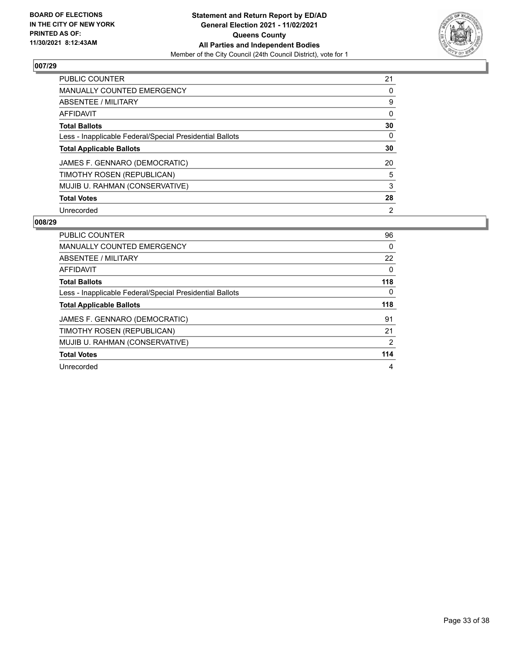

| <b>PUBLIC COUNTER</b>                                    | 21             |
|----------------------------------------------------------|----------------|
| <b>MANUALLY COUNTED EMERGENCY</b>                        | 0              |
| ABSENTEE / MILITARY                                      | 9              |
| <b>AFFIDAVIT</b>                                         | $\Omega$       |
| <b>Total Ballots</b>                                     | 30             |
| Less - Inapplicable Federal/Special Presidential Ballots | 0              |
| <b>Total Applicable Ballots</b>                          | 30             |
| JAMES F. GENNARO (DEMOCRATIC)                            | 20             |
| TIMOTHY ROSEN (REPUBLICAN)                               | 5              |
| MUJIB U. RAHMAN (CONSERVATIVE)                           | 3              |
| <b>Total Votes</b>                                       | 28             |
| Unrecorded                                               | $\overline{2}$ |

| PUBLIC COUNTER                                           | 96  |
|----------------------------------------------------------|-----|
| <b>MANUALLY COUNTED EMERGENCY</b>                        | 0   |
| ABSENTEE / MILITARY                                      | 22  |
| AFFIDAVIT                                                | 0   |
| <b>Total Ballots</b>                                     | 118 |
| Less - Inapplicable Federal/Special Presidential Ballots | 0   |
| <b>Total Applicable Ballots</b>                          | 118 |
|                                                          |     |
| JAMES F. GENNARO (DEMOCRATIC)                            | 91  |
| TIMOTHY ROSEN (REPUBLICAN)                               | 21  |
| MUJIB U. RAHMAN (CONSERVATIVE)                           | 2   |
| <b>Total Votes</b>                                       | 114 |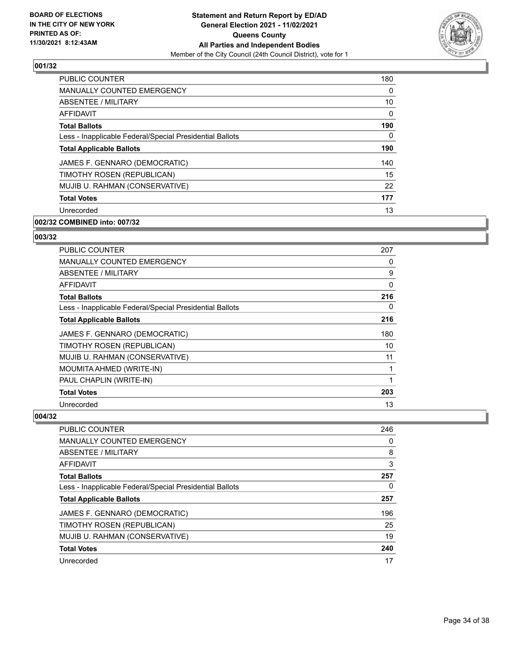

| <b>PUBLIC COUNTER</b>                                    | 180      |
|----------------------------------------------------------|----------|
| <b>MANUALLY COUNTED EMERGENCY</b>                        | $\Omega$ |
| ABSENTEE / MILITARY                                      | 10       |
| <b>AFFIDAVIT</b>                                         | $\Omega$ |
| <b>Total Ballots</b>                                     | 190      |
| Less - Inapplicable Federal/Special Presidential Ballots | 0        |
| <b>Total Applicable Ballots</b>                          | 190      |
| JAMES F. GENNARO (DEMOCRATIC)                            | 140      |
| TIMOTHY ROSEN (REPUBLICAN)                               | 15       |
| MUJIB U. RAHMAN (CONSERVATIVE)                           | 22       |
| <b>Total Votes</b>                                       | 177      |
| Unrecorded                                               | 13       |

# **002/32 COMBINED into: 007/32**

#### **003/32**

| <b>PUBLIC COUNTER</b>                                    | 207 |
|----------------------------------------------------------|-----|
| <b>MANUALLY COUNTED EMERGENCY</b>                        | 0   |
| ABSENTEE / MILITARY                                      | 9   |
| AFFIDAVIT                                                | 0   |
| <b>Total Ballots</b>                                     | 216 |
| Less - Inapplicable Federal/Special Presidential Ballots | 0   |
| <b>Total Applicable Ballots</b>                          | 216 |
| JAMES F. GENNARO (DEMOCRATIC)                            | 180 |
| TIMOTHY ROSEN (REPUBLICAN)                               | 10  |
| MUJIB U. RAHMAN (CONSERVATIVE)                           | 11  |
| MOUMITA AHMED (WRITE-IN)                                 |     |
| PAUL CHAPLIN (WRITE-IN)                                  | 1   |
| <b>Total Votes</b>                                       | 203 |
| Unrecorded                                               | 13  |

| <b>PUBLIC COUNTER</b>                                    | 246 |
|----------------------------------------------------------|-----|
| <b>MANUALLY COUNTED EMERGENCY</b>                        | 0   |
| ABSENTEE / MILITARY                                      | 8   |
| AFFIDAVIT                                                | 3   |
| <b>Total Ballots</b>                                     | 257 |
| Less - Inapplicable Federal/Special Presidential Ballots | 0   |
| <b>Total Applicable Ballots</b>                          | 257 |
| JAMES F. GENNARO (DEMOCRATIC)                            | 196 |
| TIMOTHY ROSEN (REPUBLICAN)                               | 25  |
| MUJIB U. RAHMAN (CONSERVATIVE)                           | 19  |
| <b>Total Votes</b>                                       | 240 |
| Unrecorded                                               | 17  |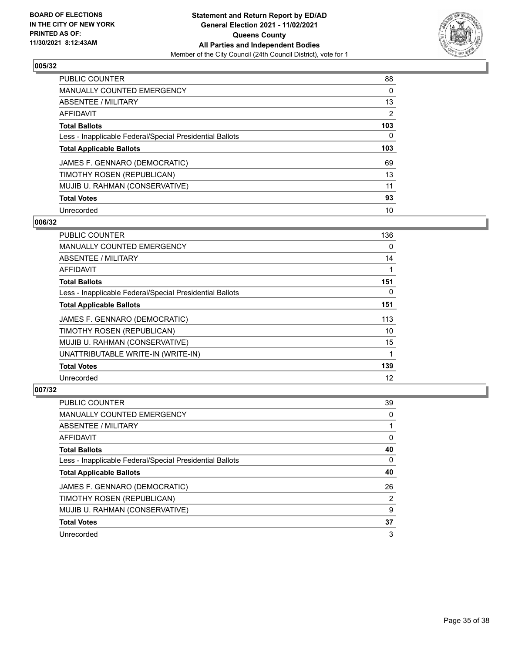

| <b>PUBLIC COUNTER</b>                                    | 88       |
|----------------------------------------------------------|----------|
| <b>MANUALLY COUNTED EMERGENCY</b>                        | $\Omega$ |
| ABSENTEE / MILITARY                                      | 13       |
| AFFIDAVIT                                                | 2        |
| <b>Total Ballots</b>                                     | 103      |
| Less - Inapplicable Federal/Special Presidential Ballots | 0        |
| <b>Total Applicable Ballots</b>                          | 103      |
| JAMES F. GENNARO (DEMOCRATIC)                            | 69       |
| TIMOTHY ROSEN (REPUBLICAN)                               | 13       |
| MUJIB U. RAHMAN (CONSERVATIVE)                           | 11       |
|                                                          |          |
| <b>Total Votes</b>                                       | 93       |

#### **006/32**

| <b>PUBLIC COUNTER</b>                                    | 136      |
|----------------------------------------------------------|----------|
| <b>MANUALLY COUNTED EMERGENCY</b>                        | $\Omega$ |
| ABSENTEE / MILITARY                                      | 14       |
| AFFIDAVIT                                                |          |
| <b>Total Ballots</b>                                     | 151      |
| Less - Inapplicable Federal/Special Presidential Ballots | $\Omega$ |
| <b>Total Applicable Ballots</b>                          | 151      |
| JAMES F. GENNARO (DEMOCRATIC)                            | 113      |
| TIMOTHY ROSEN (REPUBLICAN)                               | 10       |
| MUJIB U. RAHMAN (CONSERVATIVE)                           | 15       |
| UNATTRIBUTABLE WRITE-IN (WRITE-IN)                       | 1        |
| <b>Total Votes</b>                                       | 139      |
| Unrecorded                                               | 12       |

| PUBLIC COUNTER                                           | 39       |
|----------------------------------------------------------|----------|
| <b>MANUALLY COUNTED EMERGENCY</b>                        | $\Omega$ |
| ABSENTEE / MILITARY                                      |          |
| AFFIDAVIT                                                | 0        |
| <b>Total Ballots</b>                                     | 40       |
| Less - Inapplicable Federal/Special Presidential Ballots | 0        |
| <b>Total Applicable Ballots</b>                          | 40       |
| JAMES F. GENNARO (DEMOCRATIC)                            | 26       |
| TIMOTHY ROSEN (REPUBLICAN)                               | 2        |
| MUJIB U. RAHMAN (CONSERVATIVE)                           | 9        |
| <b>Total Votes</b>                                       | 37       |
| Unrecorded                                               | 3        |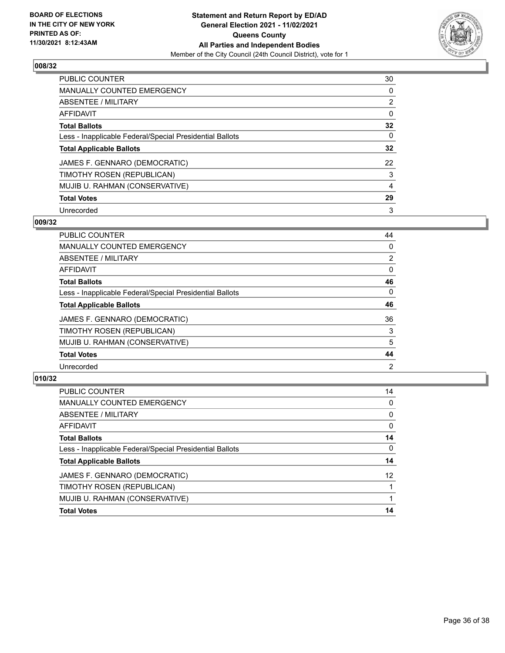

| PUBLIC COUNTER                                           | 30             |
|----------------------------------------------------------|----------------|
| <b>MANUALLY COUNTED EMERGENCY</b>                        | 0              |
| ABSENTEE / MILITARY                                      | $\overline{2}$ |
| AFFIDAVIT                                                | $\Omega$       |
| <b>Total Ballots</b>                                     | 32             |
| Less - Inapplicable Federal/Special Presidential Ballots | $\Omega$       |
| <b>Total Applicable Ballots</b>                          | 32             |
| JAMES F. GENNARO (DEMOCRATIC)                            | 22             |
| TIMOTHY ROSEN (REPUBLICAN)                               | 3              |
| MUJIB U. RAHMAN (CONSERVATIVE)                           | 4              |
| <b>Total Votes</b>                                       | 29             |
| Unrecorded                                               | 3              |

#### **009/32**

| <b>PUBLIC COUNTER</b>                                    | 44             |
|----------------------------------------------------------|----------------|
| <b>MANUALLY COUNTED EMERGENCY</b>                        | 0              |
| ABSENTEE / MILITARY                                      | $\overline{2}$ |
| <b>AFFIDAVIT</b>                                         | 0              |
| <b>Total Ballots</b>                                     | 46             |
| Less - Inapplicable Federal/Special Presidential Ballots | 0              |
| <b>Total Applicable Ballots</b>                          | 46             |
| JAMES F. GENNARO (DEMOCRATIC)                            | 36             |
| TIMOTHY ROSEN (REPUBLICAN)                               | 3              |
| MUJIB U. RAHMAN (CONSERVATIVE)                           | 5              |
| <b>Total Votes</b>                                       | 44             |
| Unrecorded                                               | 2              |

| PUBLIC COUNTER                                           | 14 |
|----------------------------------------------------------|----|
| <b>MANUALLY COUNTED EMERGENCY</b>                        | 0  |
| <b>ABSENTEE / MILITARY</b>                               | 0  |
| AFFIDAVIT                                                | 0  |
| <b>Total Ballots</b>                                     | 14 |
| Less - Inapplicable Federal/Special Presidential Ballots | 0  |
| <b>Total Applicable Ballots</b>                          | 14 |
| JAMES F. GENNARO (DEMOCRATIC)                            | 12 |
| TIMOTHY ROSEN (REPUBLICAN)                               |    |
| MUJIB U. RAHMAN (CONSERVATIVE)                           |    |
| <b>Total Votes</b>                                       | 14 |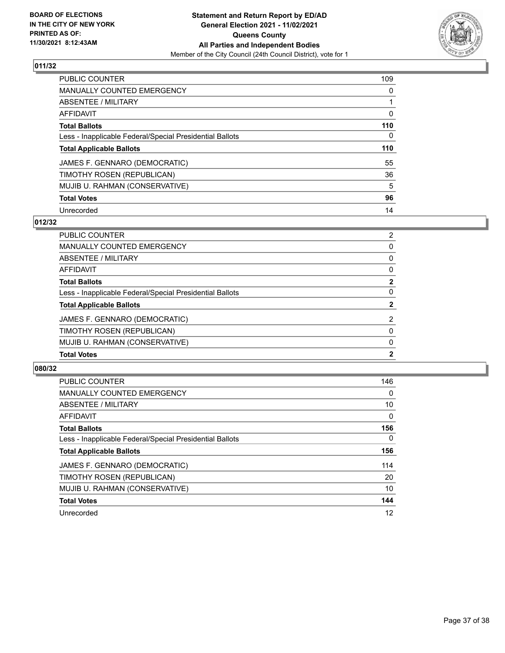

| PUBLIC COUNTER                                           | 109      |
|----------------------------------------------------------|----------|
| <b>MANUALLY COUNTED EMERGENCY</b>                        | $\Omega$ |
| ABSENTEE / MILITARY                                      |          |
| AFFIDAVIT                                                | 0        |
| <b>Total Ballots</b>                                     | 110      |
| Less - Inapplicable Federal/Special Presidential Ballots | 0        |
| <b>Total Applicable Ballots</b>                          | 110      |
| JAMES F. GENNARO (DEMOCRATIC)                            | 55       |
| TIMOTHY ROSEN (REPUBLICAN)                               | 36       |
| MUJIB U. RAHMAN (CONSERVATIVE)                           | 5        |
| <b>Total Votes</b>                                       | 96       |
| Unrecorded                                               | 14       |

# **012/32**

| 2              |
|----------------|
| 0              |
| $\Omega$       |
| 0              |
| $\mathbf{2}$   |
| $\Omega$       |
| $\mathbf{2}$   |
| $\overline{2}$ |
| $\Omega$       |
| $\Omega$       |
| $\mathbf{2}$   |
|                |

| <b>PUBLIC COUNTER</b>                                    | 146      |
|----------------------------------------------------------|----------|
| <b>MANUALLY COUNTED EMERGENCY</b>                        | $\Omega$ |
| ABSENTEE / MILITARY                                      | 10       |
| <b>AFFIDAVIT</b>                                         | $\Omega$ |
| <b>Total Ballots</b>                                     | 156      |
| Less - Inapplicable Federal/Special Presidential Ballots | $\Omega$ |
| <b>Total Applicable Ballots</b>                          | 156      |
| JAMES F. GENNARO (DEMOCRATIC)                            | 114      |
| TIMOTHY ROSEN (REPUBLICAN)                               | 20       |
| MUJIB U. RAHMAN (CONSERVATIVE)                           | 10       |
| <b>Total Votes</b>                                       | 144      |
| Unrecorded                                               | 12       |